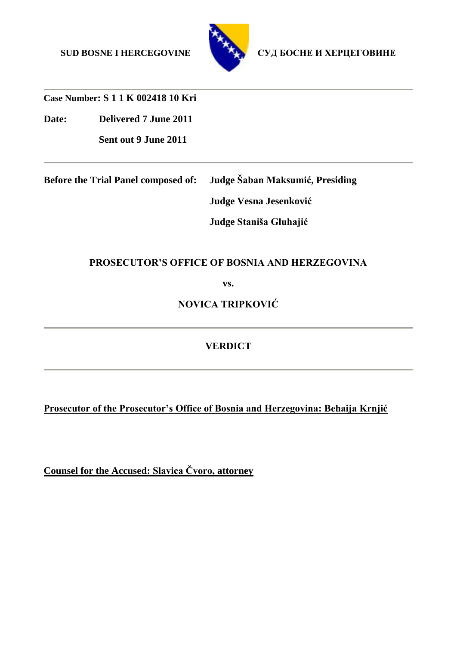

SUD BOSNE I HERCEGOVINE СУД БОСНЕ И ХЕРЦЕГОВИНЕ

**Case Number: S 1 1 K 002418 10 Kri**

**Date: Delivered 7 June 2011**

**Sent out 9 June 2011** 

**Before the Trial Panel composed of: Judge Šaban Maksumić, Presiding Judge Vesna Jesenković**

**Judge Staniša Gluhajić**

# **PROSECUTOR'S OFFICE OF BOSNIA AND HERZEGOVINA**

**vs.**

**NOVICA TRIPKOVIĆ**

**VERDICT**

**Prosecutor of the Prosecutor's Office of Bosnia and Herzegovina: Behaija Krnjić**

**Counsel for the Accused: Slavica Čvoro, attorney**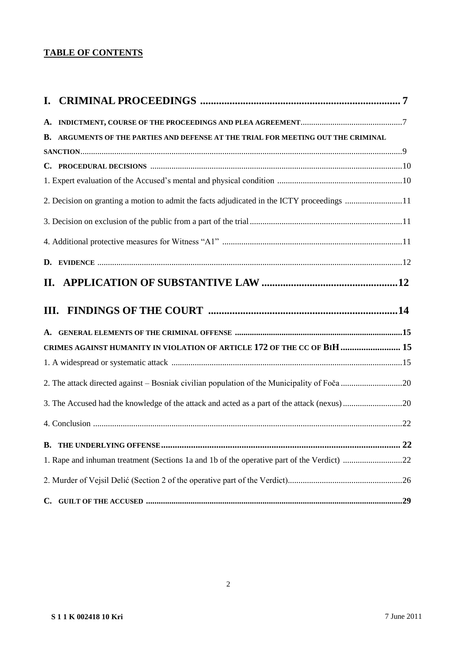# **TABLE OF CONTENTS**

| B. ARGUMENTS OF THE PARTIES AND DEFENSE AT THE TRIAL FOR MEETING OUT THE CRIMINAL          |  |
|--------------------------------------------------------------------------------------------|--|
|                                                                                            |  |
|                                                                                            |  |
|                                                                                            |  |
| 2. Decision on granting a motion to admit the facts adjudicated in the ICTY proceedings 11 |  |
|                                                                                            |  |
|                                                                                            |  |
|                                                                                            |  |
| II.                                                                                        |  |
|                                                                                            |  |
|                                                                                            |  |
| CRIMES AGAINST HUMANITY IN VIOLATION OF ARTICLE 172 OF THE CC OF BIH  15                   |  |
|                                                                                            |  |
|                                                                                            |  |
| 3. The Accused had the knowledge of the attack and acted as a part of the attack (nexus)20 |  |
|                                                                                            |  |
|                                                                                            |  |
|                                                                                            |  |
|                                                                                            |  |
|                                                                                            |  |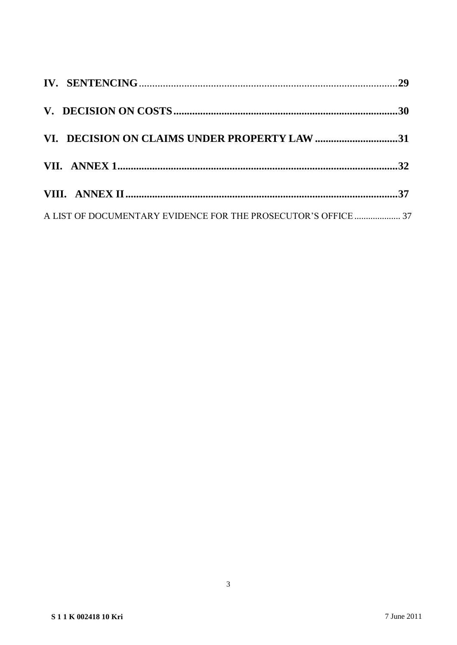| VI. DECISION ON CLAIMS UNDER PROPERTY LAW 31                   |  |
|----------------------------------------------------------------|--|
|                                                                |  |
|                                                                |  |
| A LIST OF DOCUMENTARY EVIDENCE FOR THE PROSECUTOR'S OFFICE  37 |  |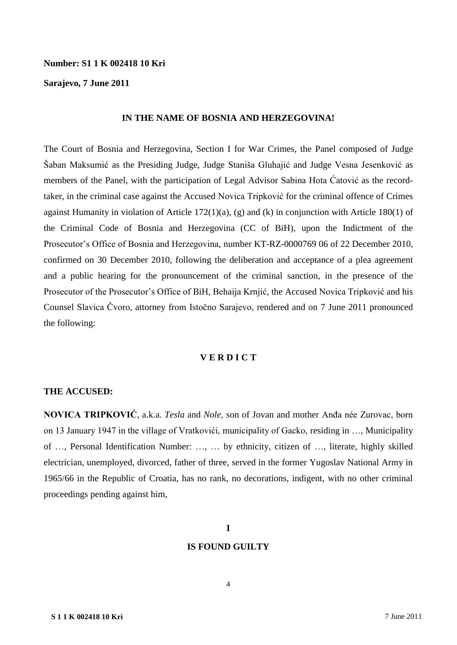### **Number: S1 1 K 002418 10 Kri**

### **Sarajevo, 7 June 2011**

#### **IN THE NAME OF BOSNIA AND HERZEGOVINA!**

The Court of Bosnia and Herzegovina, Section I for War Crimes, the Panel composed of Judge Šaban Maksumić as the Presiding Judge, Judge Staniša Gluhajić and Judge Vesna Jesenković as members of the Panel, with the participation of Legal Advisor Sabina Hota Ćatović as the recordtaker, in the criminal case against the Accused Novica Tripković for the criminal offence of Crimes against Humanity in violation of Article 172(1)(a), (g) and (k) in conjunction with Article 180(1) of the Criminal Code of Bosnia and Herzegovina (CC of BiH), upon the Indictment of the Prosecutor's Office of Bosnia and Herzegovina, number KT-RZ-0000769 06 of 22 December 2010, confirmed on 30 December 2010, following the deliberation and acceptance of a plea agreement and a public hearing for the pronouncement of the criminal sanction, in the presence of the Prosecutor of the Prosecutor's Office of BiH, Behaija Krnjić, the Accused Novica Tripković and his Counsel Slavica Čvoro, attorney from Istočno Sarajevo, rendered and on 7 June 2011 pronounced the following:

### **V E R D I C T**

### **THE ACCUSED:**

**NOVICA TRIPKOVIĆ**, a.k.a. *Tesla* and *Nole,* son of Jovan and mother Anđa née Zurovac, born on 13 January 1947 in the village of Vratkovići, municipality of Gacko, residing in …, Municipality of …, Personal Identification Number: …, … by ethnicity, citizen of …, literate, highly skilled electrician, unemployed, divorced, father of three, served in the former Yugoslav National Army in 1965/66 in the Republic of Croatia, has no rank, no decorations, indigent, with no other criminal proceedings pending against him,

# **I**

#### **IS FOUND GUILTY**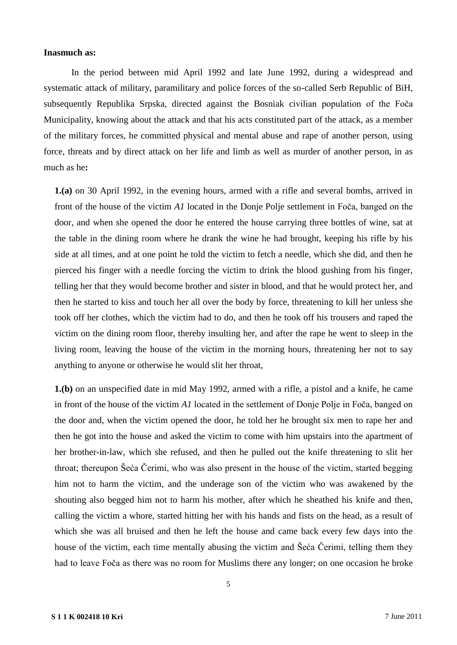### **Inasmuch as:**

In the period between mid April 1992 and late June 1992, during a widespread and systematic attack of military, paramilitary and police forces of the so-called Serb Republic of BiH, subsequently Republika Srpska, directed against the Bosniak civilian population of the Foča Municipality, knowing about the attack and that his acts constituted part of the attack, as a member of the military forces, he committed physical and mental abuse and rape of another person, using force, threats and by direct attack on her life and limb as well as murder of another person, in as much as he**:**

**1.(a)** on 30 April 1992, in the evening hours, armed with a rifle and several bombs, arrived in front of the house of the victim *A1* located in the Donje Polje settlement in Foča, banged on the door, and when she opened the door he entered the house carrying three bottles of wine, sat at the table in the dining room where he drank the wine he had brought, keeping his rifle by his side at all times, and at one point he told the victim to fetch a needle, which she did, and then he pierced his finger with a needle forcing the victim to drink the blood gushing from his finger, telling her that they would become brother and sister in blood, and that he would protect her, and then he started to kiss and touch her all over the body by force, threatening to kill her unless she took off her clothes, which the victim had to do, and then he took off his trousers and raped the victim on the dining room floor, thereby insulting her, and after the rape he went to sleep in the living room, leaving the house of the victim in the morning hours, threatening her not to say anything to anyone or otherwise he would slit her throat,

**1.(b)** on an unspecified date in mid May 1992, armed with a rifle, a pistol and a knife, he came in front of the house of the victim *A1* located in the settlement of Donje Polje in Foča, banged on the door and, when the victim opened the door, he told her he brought six men to rape her and then he got into the house and asked the victim to come with him upstairs into the apartment of her brother-in-law, which she refused, and then he pulled out the knife threatening to slit her throat; thereupon Šeća Čerimi, who was also present in the house of the victim, started begging him not to harm the victim, and the underage son of the victim who was awakened by the shouting also begged him not to harm his mother, after which he sheathed his knife and then, calling the victim a whore, started hitting her with his hands and fists on the head, as a result of which she was all bruised and then he left the house and came back every few days into the house of the victim, each time mentally abusing the victim and Šeća Čerimi, telling them they had to leave Foča as there was no room for Muslims there any longer; on one occasion he broke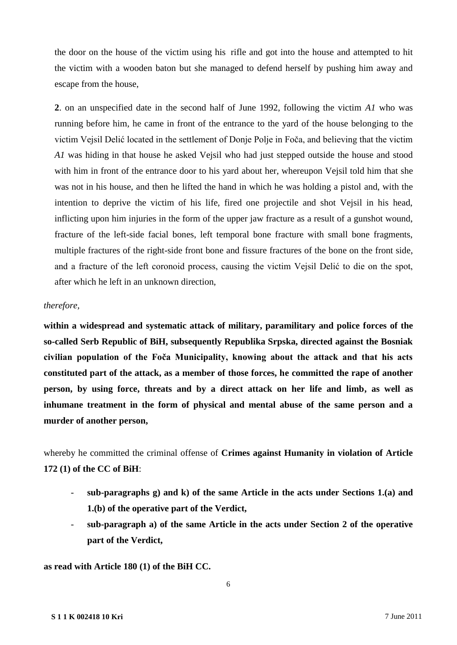the door on the house of the victim using his rifle and got into the house and attempted to hit the victim with a wooden baton but she managed to defend herself by pushing him away and escape from the house,

**2**. on an unspecified date in the second half of June 1992, following the victim *A1* who was running before him, he came in front of the entrance to the yard of the house belonging to the victim Vejsil Delić located in the settlement of Donje Polje in Foča, and believing that the victim *A1* was hiding in that house he asked Vejsil who had just stepped outside the house and stood with him in front of the entrance door to his yard about her, whereupon Vejsil told him that she was not in his house, and then he lifted the hand in which he was holding a pistol and, with the intention to deprive the victim of his life, fired one projectile and shot Vejsil in his head, inflicting upon him injuries in the form of the upper jaw fracture as a result of a gunshot wound, fracture of the left-side facial bones, left temporal bone fracture with small bone fragments, multiple fractures of the right-side front bone and fissure fractures of the bone on the front side, and a fracture of the left coronoid process, causing the victim Vejsil Delić to die on the spot, after which he left in an unknown direction,

### *therefore,*

**within a widespread and systematic attack of military, paramilitary and police forces of the so-called Serb Republic of BiH, subsequently Republika Srpska, directed against the Bosniak civilian population of the Foča Municipality, knowing about the attack and that his acts constituted part of the attack, as a member of those forces, he committed the rape of another person, by using force, threats and by a direct attack on her life and limb, as well as inhumane treatment in the form of physical and mental abuse of the same person and a murder of another person,** 

whereby he committed the criminal offense of **Crimes against Humanity in violation of Article 172 (1) of the CC of BiH**:

- **sub-paragraphs g) and k) of the same Article in the acts under Sections 1.(a) and 1.(b) of the operative part of the Verdict,**
- **sub-paragraph a) of the same Article in the acts under Section 2 of the operative part of the Verdict,**

**as read with Article 180 (1) of the BiH CC.**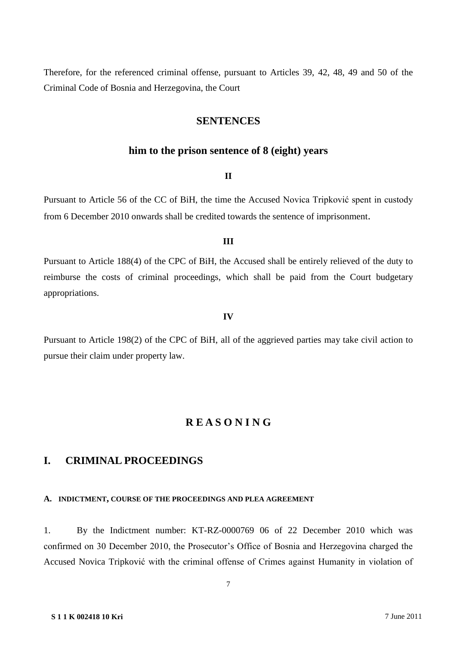Therefore, for the referenced criminal offense, pursuant to Articles 39, 42, 48, 49 and 50 of the Criminal Code of Bosnia and Herzegovina, the Court

### **SENTENCES**

### **him to the prison sentence of 8 (eight) years**

### **II**

Pursuant to Article 56 of the CC of BiH, the time the Accused Novica Tripković spent in custody from 6 December 2010 onwards shall be credited towards the sentence of imprisonment.

### **III**

Pursuant to Article 188(4) of the CPC of BiH, the Accused shall be entirely relieved of the duty to reimburse the costs of criminal proceedings, which shall be paid from the Court budgetary appropriations.

#### **IV**

Pursuant to Article 198(2) of the CPC of BiH, all of the aggrieved parties may take civil action to pursue their claim under property law.

### **R E A S O N I N G**

# **I. CRIMINAL PROCEEDINGS**

### **A. INDICTMENT, COURSE OF THE PROCEEDINGS AND PLEA AGREEMENT**

1. By the Indictment number: KT-RZ-0000769 06 of 22 December 2010 which was confirmed on 30 December 2010, the Prosecutor's Office of Bosnia and Herzegovina charged the Accused Novica Tripković with the criminal offense of Crimes against Humanity in violation of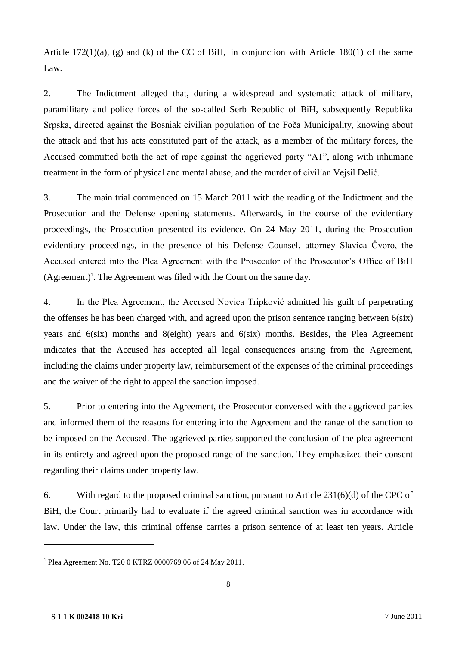Article 172(1)(a), (g) and (k) of the CC of BiH, in conjunction with Article 180(1) of the same Law.

2. The Indictment alleged that, during a widespread and systematic attack of military, paramilitary and police forces of the so-called Serb Republic of BiH, subsequently Republika Srpska, directed against the Bosniak civilian population of the Foča Municipality, knowing about the attack and that his acts constituted part of the attack, as a member of the military forces, the Accused committed both the act of rape against the aggrieved party "A1", along with inhumane treatment in the form of physical and mental abuse, and the murder of civilian Vejsil Delić.

3. The main trial commenced on 15 March 2011 with the reading of the Indictment and the Prosecution and the Defense opening statements. Afterwards, in the course of the evidentiary proceedings, the Prosecution presented its evidence. On 24 May 2011, during the Prosecution evidentiary proceedings, in the presence of his Defense Counsel, attorney Slavica Čvoro, the Accused entered into the Plea Agreement with the Prosecutor of the Prosecutor's Office of BiH  $(Agreenent)^{1}$ . The Agreement was filed with the Court on the same day.

4. In the Plea Agreement, the Accused Novica Tripković admitted his guilt of perpetrating the offenses he has been charged with, and agreed upon the prison sentence ranging between 6(six) years and 6(six) months and 8(eight) years and 6(six) months. Besides, the Plea Agreement indicates that the Accused has accepted all legal consequences arising from the Agreement, including the claims under property law, reimbursement of the expenses of the criminal proceedings and the waiver of the right to appeal the sanction imposed.

5. Prior to entering into the Agreement, the Prosecutor conversed with the aggrieved parties and informed them of the reasons for entering into the Agreement and the range of the sanction to be imposed on the Accused. The aggrieved parties supported the conclusion of the plea agreement in its entirety and agreed upon the proposed range of the sanction. They emphasized their consent regarding their claims under property law.

6. With regard to the proposed criminal sanction, pursuant to Article 231(6)(d) of the CPC of BiH, the Court primarily had to evaluate if the agreed criminal sanction was in accordance with law. Under the law, this criminal offense carries a prison sentence of at least ten years. Article

<sup>1</sup> Plea Agreement No. T20 0 KTRZ 0000769 06 of 24 May 2011.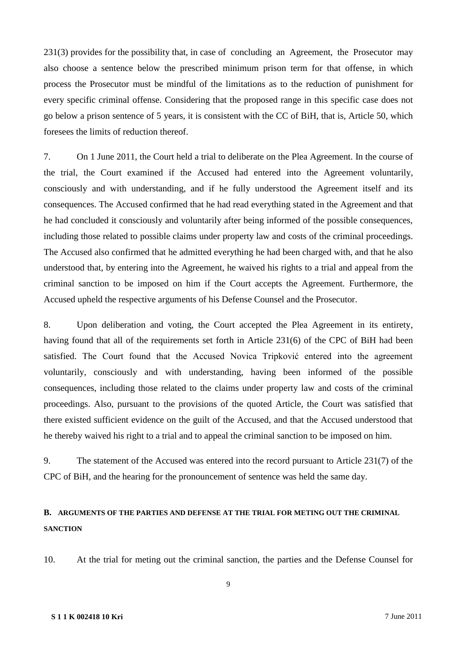231(3) provides for the possibility that, in case of concluding an Agreement, the Prosecutor may also choose a sentence below the prescribed minimum prison term for that offense, in which process the Prosecutor must be mindful of the limitations as to the reduction of punishment for every specific criminal offense. Considering that the proposed range in this specific case does not go below a prison sentence of 5 years, it is consistent with the CC of BiH, that is, Article 50, which foresees the limits of reduction thereof.

7. On 1 June 2011, the Court held a trial to deliberate on the Plea Agreement. In the course of the trial, the Court examined if the Accused had entered into the Agreement voluntarily, consciously and with understanding, and if he fully understood the Agreement itself and its consequences. The Accused confirmed that he had read everything stated in the Agreement and that he had concluded it consciously and voluntarily after being informed of the possible consequences, including those related to possible claims under property law and costs of the criminal proceedings. The Accused also confirmed that he admitted everything he had been charged with, and that he also understood that, by entering into the Agreement, he waived his rights to a trial and appeal from the criminal sanction to be imposed on him if the Court accepts the Agreement. Furthermore, the Accused upheld the respective arguments of his Defense Counsel and the Prosecutor.

8. Upon deliberation and voting, the Court accepted the Plea Agreement in its entirety, having found that all of the requirements set forth in Article 231(6) of the CPC of BiH had been satisfied. The Court found that the Accused Novica Tripković entered into the agreement voluntarily, consciously and with understanding, having been informed of the possible consequences, including those related to the claims under property law and costs of the criminal proceedings. Also, pursuant to the provisions of the quoted Article, the Court was satisfied that there existed sufficient evidence on the guilt of the Accused, and that the Accused understood that he thereby waived his right to a trial and to appeal the criminal sanction to be imposed on him.

9. The statement of the Accused was entered into the record pursuant to Article 231(7) of the CPC of BiH, and the hearing for the pronouncement of sentence was held the same day.

# **B. ARGUMENTS OF THE PARTIES AND DEFENSE AT THE TRIAL FOR METING OUT THE CRIMINAL SANCTION**

10. At the trial for meting out the criminal sanction, the parties and the Defense Counsel for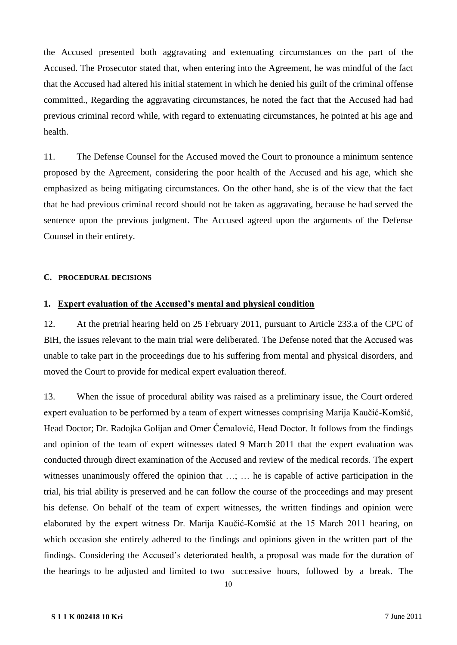the Accused presented both aggravating and extenuating circumstances on the part of the Accused. The Prosecutor stated that, when entering into the Agreement, he was mindful of the fact that the Accused had altered his initial statement in which he denied his guilt of the criminal offense committed., Regarding the aggravating circumstances, he noted the fact that the Accused had had previous criminal record while, with regard to extenuating circumstances, he pointed at his age and health.

11. The Defense Counsel for the Accused moved the Court to pronounce a minimum sentence proposed by the Agreement, considering the poor health of the Accused and his age, which she emphasized as being mitigating circumstances. On the other hand, she is of the view that the fact that he had previous criminal record should not be taken as aggravating, because he had served the sentence upon the previous judgment. The Accused agreed upon the arguments of the Defense Counsel in their entirety.

#### **C. PROCEDURAL DECISIONS**

#### **1. Expert evaluation of the Accused's mental and physical condition**

12. At the pretrial hearing held on 25 February 2011, pursuant to Article 233.a of the CPC of BiH, the issues relevant to the main trial were deliberated. The Defense noted that the Accused was unable to take part in the proceedings due to his suffering from mental and physical disorders, and moved the Court to provide for medical expert evaluation thereof.

13. When the issue of procedural ability was raised as a preliminary issue, the Court ordered expert evaluation to be performed by a team of expert witnesses comprising Marija Kaučić-Komšić, Head Doctor; Dr. Radojka Golijan and Omer Ćemalović, Head Doctor. It follows from the findings and opinion of the team of expert witnesses dated 9 March 2011 that the expert evaluation was conducted through direct examination of the Accused and review of the medical records. The expert witnesses unanimously offered the opinion that …; … he is capable of active participation in the trial, his trial ability is preserved and he can follow the course of the proceedings and may present his defense. On behalf of the team of expert witnesses, the written findings and opinion were elaborated by the expert witness Dr. Marija Kaučić-Komšić at the 15 March 2011 hearing, on which occasion she entirely adhered to the findings and opinions given in the written part of the findings. Considering the Accused's deteriorated health, a proposal was made for the duration of the hearings to be adjusted and limited to two successive hours, followed by a break. The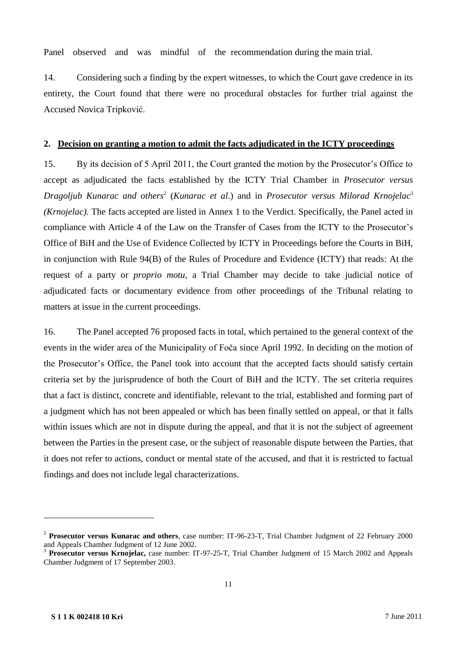Panel observed and was mindful of the recommendation during the main trial.

14. Considering such a finding by the expert witnesses, to which the Court gave credence in its entirety, the Court found that there were no procedural obstacles for further trial against the Accused Novica Tripković.

### **2. Decision on granting a motion to admit the facts adjudicated in the ICTY proceedings**

15. By its decision of 5 April 2011, the Court granted the motion by the Prosecutor's Office to accept as adjudicated the facts established by the ICTY Trial Chamber in *Prosecutor versus*  Dragoljub Kunarac and others<sup>2</sup> (Kunarac et al.) and in *Prosecutor versus Milorad Krnojelac*<sup>3</sup> *(Krnojelac).* The facts accepted are listed in Annex 1 to the Verdict. Specifically, the Panel acted in compliance with Article 4 of the Law on the Transfer of Cases from the ICTY to the Prosecutor's Office of BiH and the Use of Evidence Collected by ICTY in Proceedings before the Courts in BiH, in conjunction with Rule 94(B) of the Rules of Procedure and Evidence (ICTY) that reads: At the request of a party or *proprio motu,* a Trial Chamber may decide to take judicial notice of adjudicated facts or documentary evidence from other proceedings of the Tribunal relating to matters at issue in the current proceedings.

16. The Panel accepted 76 proposed facts in total, which pertained to the general context of the events in the wider area of the Municipality of Foča since April 1992. In deciding on the motion of the Prosecutor's Office, the Panel took into account that the accepted facts should satisfy certain criteria set by the jurisprudence of both the Court of BiH and the ICTY. The set criteria requires that a fact is distinct, concrete and identifiable, relevant to the trial, established and forming part of a judgment which has not been appealed or which has been finally settled on appeal, or that it falls within issues which are not in dispute during the appeal, and that it is not the subject of agreement between the Parties in the present case, or the subject of reasonable dispute between the Parties, that it does not refer to actions, conduct or mental state of the accused, and that it is restricted to factual findings and does not include legal characterizations.

<sup>2</sup> **Prosecutor versus Kunarac and others**, case number: IT-96-23-T, Trial Chamber Judgment of 22 February 2000 and Appeals Chamber Judgment of 12 June 2002.

<sup>3</sup> **Prosecutor versus Krnojelac,** case number: IT-97-25-T, Trial Chamber Judgment of 15 March 2002 and Appeals Chamber Judgment of 17 September 2003.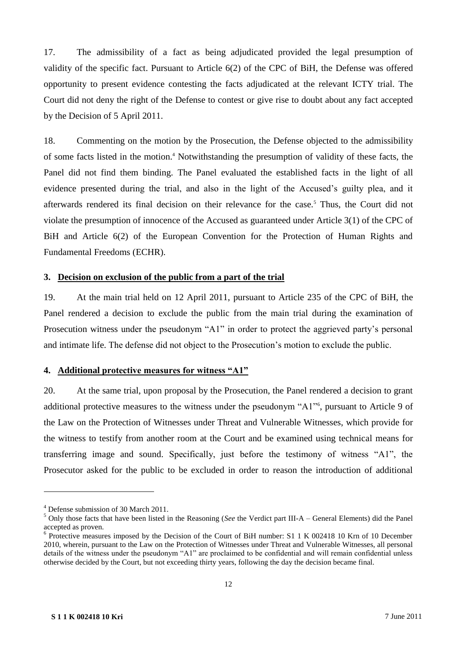17. The admissibility of a fact as being adjudicated provided the legal presumption of validity of the specific fact. Pursuant to Article 6(2) of the CPC of BiH, the Defense was offered opportunity to present evidence contesting the facts adjudicated at the relevant ICTY trial. The Court did not deny the right of the Defense to contest or give rise to doubt about any fact accepted by the Decision of 5 April 2011.

18. Commenting on the motion by the Prosecution, the Defense objected to the admissibility of some facts listed in the motion.<sup>4</sup> Notwithstanding the presumption of validity of these facts, the Panel did not find them binding. The Panel evaluated the established facts in the light of all evidence presented during the trial, and also in the light of the Accused's guilty plea, and it afterwards rendered its final decision on their relevance for the case.<sup>5</sup> Thus, the Court did not violate the presumption of innocence of the Accused as guaranteed under Article 3(1) of the CPC of BiH and Article 6(2) of the European Convention for the Protection of Human Rights and Fundamental Freedoms (ECHR).

### **3. Decision on exclusion of the public from a part of the trial**

19. At the main trial held on 12 April 2011, pursuant to Article 235 of the CPC of BiH, the Panel rendered a decision to exclude the public from the main trial during the examination of Prosecution witness under the pseudonym "A1" in order to protect the aggrieved party's personal and intimate life. The defense did not object to the Prosecution's motion to exclude the public.

### **4. Additional protective measures for witness "A1"**

20. At the same trial, upon proposal by the Prosecution, the Panel rendered a decision to grant additional protective measures to the witness under the pseudonym "A1"<sup>6</sup> , pursuant to Article 9 of the Law on the Protection of Witnesses under Threat and Vulnerable Witnesses, which provide for the witness to testify from another room at the Court and be examined using technical means for transferring image and sound. Specifically, just before the testimony of witness "A1", the Prosecutor asked for the public to be excluded in order to reason the introduction of additional

<sup>4</sup> Defense submission of 30 March 2011.

<sup>5</sup> Only those facts that have been listed in the Reasoning (*See* the Verdict part III-A – General Elements) did the Panel accepted as proven.

<sup>&</sup>lt;sup>6</sup> Protective measures imposed by the Decision of the Court of BiH number: S1 1 K 002418 10 Krn of 10 December 2010, wherein, pursuant to the Law on the Protection of Witnesses under Threat and Vulnerable Witnesses, all personal details of the witness under the pseudonym "A1" are proclaimed to be confidential and will remain confidential unless otherwise decided by the Court, but not exceeding thirty years, following the day the decision became final.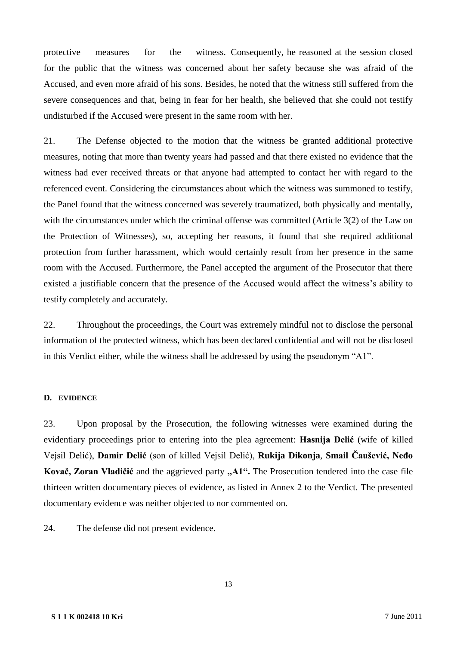protective measures for the witness. Consequently, he reasoned at the session closed for the public that the witness was concerned about her safety because she was afraid of the Accused, and even more afraid of his sons. Besides, he noted that the witness still suffered from the severe consequences and that, being in fear for her health, she believed that she could not testify undisturbed if the Accused were present in the same room with her.

21. The Defense objected to the motion that the witness be granted additional protective measures, noting that more than twenty years had passed and that there existed no evidence that the witness had ever received threats or that anyone had attempted to contact her with regard to the referenced event. Considering the circumstances about which the witness was summoned to testify, the Panel found that the witness concerned was severely traumatized, both physically and mentally, with the circumstances under which the criminal offense was committed (Article 3(2) of the Law on the Protection of Witnesses), so, accepting her reasons, it found that she required additional protection from further harassment, which would certainly result from her presence in the same room with the Accused. Furthermore, the Panel accepted the argument of the Prosecutor that there existed a justifiable concern that the presence of the Accused would affect the witness's ability to testify completely and accurately.

22. Throughout the proceedings, the Court was extremely mindful not to disclose the personal information of the protected witness, which has been declared confidential and will not be disclosed in this Verdict either, while the witness shall be addressed by using the pseudonym "A1".

### **D. EVIDENCE**

23. Upon proposal by the Prosecution, the following witnesses were examined during the evidentiary proceedings prior to entering into the plea agreement: **Hasnija Delić** (wife of killed Vejsil Delić), **Damir Delić** (son of killed Vejsil Delić), **Rukija Dikonja**, **Smail Čaušević, Neđo**  Kovač, Zoran Vladičić and the aggrieved party "A1". The Prosecution tendered into the case file thirteen written documentary pieces of evidence, as listed in Annex 2 to the Verdict. The presented documentary evidence was neither objected to nor commented on.

24. The defense did not present evidence.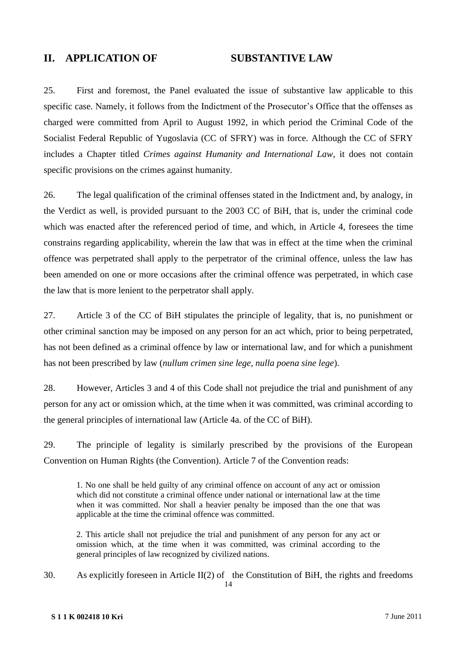# **II. APPLICATION OF SUBSTANTIVE LAW**

25. First and foremost, the Panel evaluated the issue of substantive law applicable to this specific case. Namely, it follows from the Indictment of the Prosecutor's Office that the offenses as charged were committed from April to August 1992, in which period the Criminal Code of the Socialist Federal Republic of Yugoslavia (CC of SFRY) was in force. Although the CC of SFRY includes a Chapter titled *Crimes against Humanity and International Law*, it does not contain specific provisions on the crimes against humanity.

26. The legal qualification of the criminal offenses stated in the Indictment and, by analogy, in the Verdict as well, is provided pursuant to the 2003 CC of BiH, that is, under the criminal code which was enacted after the referenced period of time, and which, in Article 4, foresees the time constrains regarding applicability, wherein the law that was in effect at the time when the criminal offence was perpetrated shall apply to the perpetrator of the criminal offence, unless the law has been amended on one or more occasions after the criminal offence was perpetrated, in which case the law that is more lenient to the perpetrator shall apply.

27. Article 3 of the CC of BiH stipulates the principle of legality, that is, no punishment or other criminal sanction may be imposed on any person for an act which, prior to being perpetrated, has not been defined as a criminal offence by law or international law, and for which a punishment has not been prescribed by law (*nullum crimen sine lege, nulla poena sine lege*).

28. However, Articles 3 and 4 of this Code shall not prejudice the trial and punishment of any person for any act or omission which, at the time when it was committed, was criminal according to the general principles of international law (Article 4a. of the CC of BiH).

29. The principle of legality is similarly prescribed by the provisions of the European Convention on Human Rights (the Convention). Article 7 of the Convention reads:

1. No one shall be held guilty of any criminal offence on account of any act or omission which did not constitute a criminal offence under national or international law at the time when it was committed. Nor shall a heavier penalty be imposed than the one that was applicable at the time the criminal offence was committed.

2. This article shall not prejudice the trial and punishment of any person for any act or omission which, at the time when it was committed, was criminal according to the general principles of law recognized by civilized nations.

30. As explicitly foreseen in Article II(2) of the Constitution of BiH, the rights and freedoms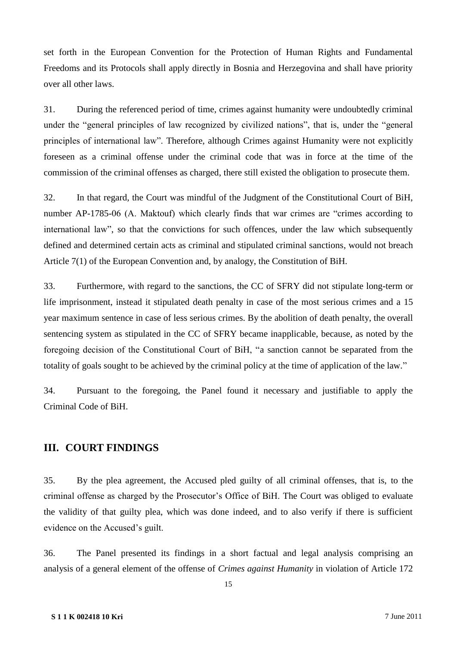set forth in the European Convention for the Protection of Human Rights and Fundamental Freedoms and its Protocols shall apply directly in Bosnia and Herzegovina and shall have priority over all other laws.

31. During the referenced period of time, crimes against humanity were undoubtedly criminal under the "general principles of law recognized by civilized nations", that is, under the "general principles of international law". Therefore, although Crimes against Humanity were not explicitly foreseen as a criminal offense under the criminal code that was in force at the time of the commission of the criminal offenses as charged, there still existed the obligation to prosecute them.

32. In that regard, the Court was mindful of the Judgment of the Constitutional Court of BiH, number AP-1785-06 (A. Maktouf) which clearly finds that war crimes are "crimes according to international law", so that the convictions for such offences, under the law which subsequently defined and determined certain acts as criminal and stipulated criminal sanctions, would not breach Article 7(1) of the European Convention and, by analogy, the Constitution of BiH.

33. Furthermore, with regard to the sanctions, the CC of SFRY did not stipulate long-term or life imprisonment, instead it stipulated death penalty in case of the most serious crimes and a 15 year maximum sentence in case of less serious crimes. By the abolition of death penalty, the overall sentencing system as stipulated in the CC of SFRY became inapplicable, because, as noted by the foregoing decision of the Constitutional Court of BiH, "a sanction cannot be separated from the totality of goals sought to be achieved by the criminal policy at the time of application of the law."

34. Pursuant to the foregoing, the Panel found it necessary and justifiable to apply the Criminal Code of BiH.

# **III. COURT FINDINGS**

35. By the plea agreement, the Accused pled guilty of all criminal offenses, that is, to the criminal offense as charged by the Prosecutor's Office of BiH. The Court was obliged to evaluate the validity of that guilty plea, which was done indeed, and to also verify if there is sufficient evidence on the Accused's guilt.

36. The Panel presented its findings in a short factual and legal analysis comprising an analysis of a general element of the offense of *Crimes against Humanity* in violation of Article 172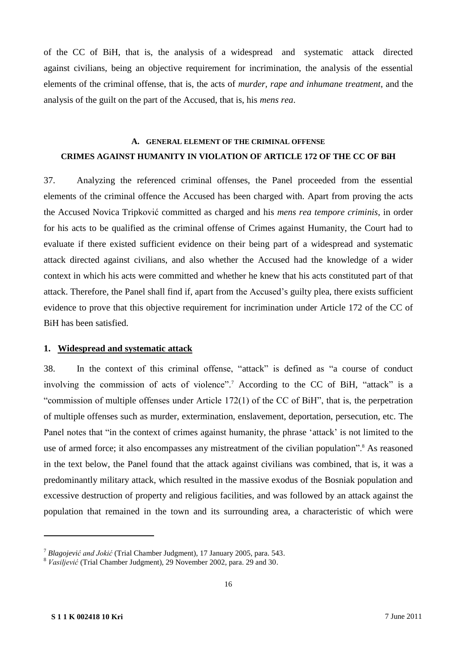of the CC of BiH, that is, the analysis of a widespread and systematic attack directed against civilians, being an objective requirement for incrimination, the analysis of the essential elements of the criminal offense, that is, the acts of *murder, rape and inhumane treatment*, and the analysis of the guilt on the part of the Accused, that is, his *mens rea*.

# **A. GENERAL ELEMENT OF THE CRIMINAL OFFENSE CRIMES AGAINST HUMANITY IN VIOLATION OF ARTICLE 172 OF THE CC OF BiH**

37. Analyzing the referenced criminal offenses, the Panel proceeded from the essential elements of the criminal offence the Accused has been charged with. Apart from proving the acts the Accused Novica Tripković committed as charged and his *mens rea tempore criminis*, in order for his acts to be qualified as the criminal offense of Crimes against Humanity, the Court had to evaluate if there existed sufficient evidence on their being part of a widespread and systematic attack directed against civilians, and also whether the Accused had the knowledge of a wider context in which his acts were committed and whether he knew that his acts constituted part of that attack. Therefore, the Panel shall find if, apart from the Accused's guilty plea, there exists sufficient evidence to prove that this objective requirement for incrimination under Article 172 of the CC of BiH has been satisfied.

### **1. Widespread and systematic attack**

38. In the context of this criminal offense, "attack" is defined as "a course of conduct involving the commission of acts of violence".<sup>7</sup> According to the CC of BiH, "attack" is a "commission of multiple offenses under Article 172(1) of the CC of BiH", that is, the perpetration of multiple offenses such as murder, extermination, enslavement, deportation, persecution, etc. The Panel notes that "in the context of crimes against humanity, the phrase 'attack' is not limited to the use of armed force; it also encompasses any mistreatment of the civilian population".<sup>8</sup> As reasoned in the text below, the Panel found that the attack against civilians was combined, that is, it was a predominantly military attack, which resulted in the massive exodus of the Bosniak population and excessive destruction of property and religious facilities, and was followed by an attack against the population that remained in the town and its surrounding area, a characteristic of which were

<sup>7</sup> *Blagojević and Jokić* (Trial Chamber Judgment), 17 January 2005, para. 543.

<sup>8</sup> *Vasiljević* (Trial Chamber Judgment), 29 November 2002, para. 29 and 30.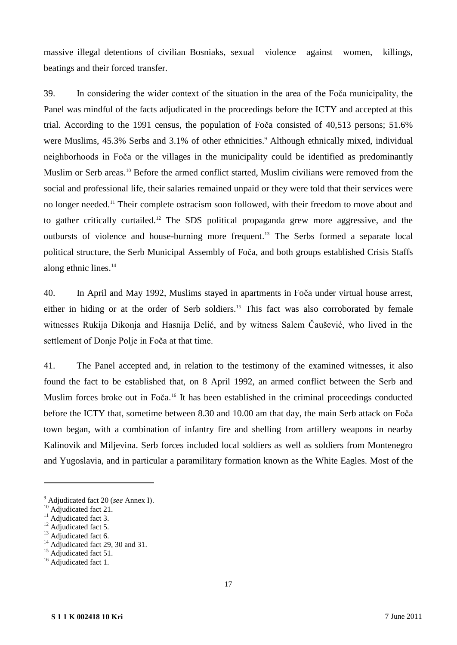massive illegal detentions of civilian Bosniaks, sexual violence against women, killings, beatings and their forced transfer.

39. In considering the wider context of the situation in the area of the Foča municipality, the Panel was mindful of the facts adjudicated in the proceedings before the ICTY and accepted at this trial. According to the 1991 census, the population of Foča consisted of 40,513 persons; 51.6% were Muslims, 45.3% Serbs and 3.1% of other ethnicities.<sup>9</sup> Although ethnically mixed, individual neighborhoods in Foča or the villages in the municipality could be identified as predominantly Muslim or Serb areas. <sup>10</sup> Before the armed conflict started, Muslim civilians were removed from the social and professional life, their salaries remained unpaid or they were told that their services were no longer needed.<sup>11</sup> Their complete ostracism soon followed, with their freedom to move about and to gather critically curtailed.<sup>12</sup> The SDS political propaganda grew more aggressive, and the outbursts of violence and house-burning more frequent. <sup>13</sup> The Serbs formed a separate local political structure, the Serb Municipal Assembly of Foča, and both groups established Crisis Staffs along ethnic lines. 14

40. In April and May 1992, Muslims stayed in apartments in Foča under virtual house arrest, either in hiding or at the order of Serb soldiers.<sup>15</sup> This fact was also corroborated by female witnesses Rukija Dikonja and Hasnija Delić, and by witness Salem Čaušević, who lived in the settlement of Donje Polje in Foča at that time.

41. The Panel accepted and, in relation to the testimony of the examined witnesses, it also found the fact to be established that, on 8 April 1992, an armed conflict between the Serb and Muslim forces broke out in Foča.<sup>16</sup> It has been established in the criminal proceedings conducted before the ICTY that, sometime between 8.30 and 10.00 am that day, the main Serb attack on Foča town began, with a combination of infantry fire and shelling from artillery weapons in nearby Kalinovik and Miljevina. Serb forces included local soldiers as well as soldiers from Montenegro and Yugoslavia, and in particular a paramilitary formation known as the White Eagles. Most of the

<sup>9</sup> Adjudicated fact 20 (*see* Annex I).

<sup>&</sup>lt;sup>10</sup> Adjudicated fact 21.

 $11$  Adjudicated fact 3.

<sup>&</sup>lt;sup>12</sup> Adjudicated fact 5.

<sup>&</sup>lt;sup>13</sup> Adjudicated fact 6.

<sup>&</sup>lt;sup>14</sup> Adjudicated fact 29, 30 and 31.

<sup>&</sup>lt;sup>15</sup> Adjudicated fact 51.

<sup>&</sup>lt;sup>16</sup> Adjudicated fact 1.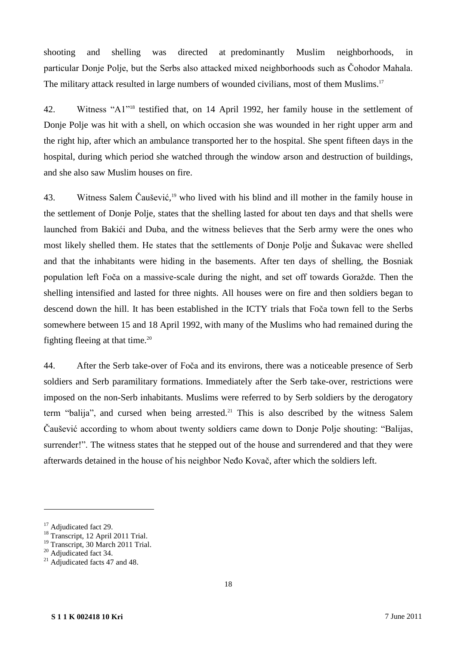shooting and shelling was directed at predominantly Muslim neighborhoods, in particular Donje Polje, but the Serbs also attacked mixed neighborhoods such as Čohodor Mahala. The military attack resulted in large numbers of wounded civilians, most of them Muslims.<sup>17</sup>

42. Witness "A1"<sup>18</sup> testified that, on 14 April 1992, her family house in the settlement of Donje Polje was hit with a shell, on which occasion she was wounded in her right upper arm and the right hip, after which an ambulance transported her to the hospital. She spent fifteen days in the hospital, during which period she watched through the window arson and destruction of buildings, and she also saw Muslim houses on fire.

43. Witness Salem Čaušević, <sup>19</sup> who lived with his blind and ill mother in the family house in the settlement of Donje Polje, states that the shelling lasted for about ten days and that shells were launched from Bakići and Duba, and the witness believes that the Serb army were the ones who most likely shelled them. He states that the settlements of Donje Polje and Šukavac were shelled and that the inhabitants were hiding in the basements. After ten days of shelling, the Bosniak population left Foča on a massive-scale during the night, and set off towards Goražde. Then the shelling intensified and lasted for three nights. All houses were on fire and then soldiers began to descend down the hill. It has been established in the ICTY trials that Foča town fell to the Serbs somewhere between 15 and 18 April 1992, with many of the Muslims who had remained during the fighting fleeing at that time.<sup>20</sup>

44. After the Serb take-over of Foča and its environs, there was a noticeable presence of Serb soldiers and Serb paramilitary formations. Immediately after the Serb take-over, restrictions were imposed on the non-Serb inhabitants. Muslims were referred to by Serb soldiers by the derogatory term "balija", and cursed when being arrested.<sup>21</sup> This is also described by the witness Salem Čaušević according to whom about twenty soldiers came down to Donje Polje shouting: "Balijas, surrender!". The witness states that he stepped out of the house and surrendered and that they were afterwards detained in the house of his neighbor Neđo Kovač, after which the soldiers left.

<sup>&</sup>lt;sup>17</sup> Adjudicated fact 29.

<sup>18</sup> Transcript, 12 April 2011 Trial.

<sup>&</sup>lt;sup>19</sup> Transcript, 30 March 2011 Trial.

<sup>&</sup>lt;sup>20</sup> Adjudicated fact 34.

 $21$  Adjudicated facts 47 and 48.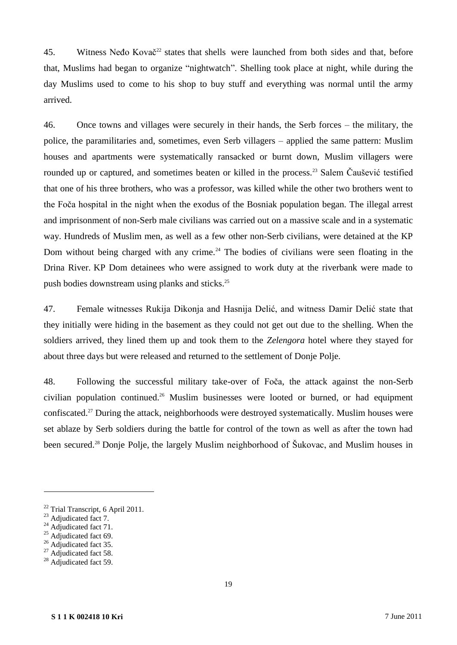45. Witness Neđo Kovač<sup>22</sup> states that shells were launched from both sides and that, before that, Muslims had began to organize "nightwatch". Shelling took place at night, while during the day Muslims used to come to his shop to buy stuff and everything was normal until the army arrived.

46. Once towns and villages were securely in their hands, the Serb forces – the military, the police, the paramilitaries and, sometimes, even Serb villagers – applied the same pattern: Muslim houses and apartments were systematically ransacked or burnt down, Muslim villagers were rounded up or captured, and sometimes beaten or killed in the process.<sup>23</sup> Salem Čaušević testified that one of his three brothers, who was a professor, was killed while the other two brothers went to the Foča hospital in the night when the exodus of the Bosniak population began. The illegal arrest and imprisonment of non-Serb male civilians was carried out on a massive scale and in a systematic way. Hundreds of Muslim men, as well as a few other non-Serb civilians, were detained at the KP Dom without being charged with any crime.<sup>24</sup> The bodies of civilians were seen floating in the Drina River. KP Dom detainees who were assigned to work duty at the riverbank were made to push bodies downstream using planks and sticks.<sup>25</sup>

47. Female witnesses Rukija Dikonja and Hasnija Delić, and witness Damir Delić state that they initially were hiding in the basement as they could not get out due to the shelling. When the soldiers arrived, they lined them up and took them to the *Zelengora* hotel where they stayed for about three days but were released and returned to the settlement of Donje Polje.

48. Following the successful military take-over of Foča, the attack against the non-Serb civilian population continued. <sup>26</sup> Muslim businesses were looted or burned, or had equipment confiscated.<sup>27</sup> During the attack, neighborhoods were destroyed systematically. Muslim houses were set ablaze by Serb soldiers during the battle for control of the town as well as after the town had been secured.<sup>28</sup> Donje Polje, the largely Muslim neighborhood of Šukovac, and Muslim houses in

<sup>22</sup> Trial Transcript, 6 April 2011.

<sup>&</sup>lt;sup>23</sup> Adjudicated fact 7.

 $24$  Adjudicated fact 71.

 $25$  Adjudicated fact 69.

<sup>&</sup>lt;sup>26</sup> Adjudicated fact 35.

 $27$  Adjudicated fact 58.

 $28$  Adjudicated fact 59.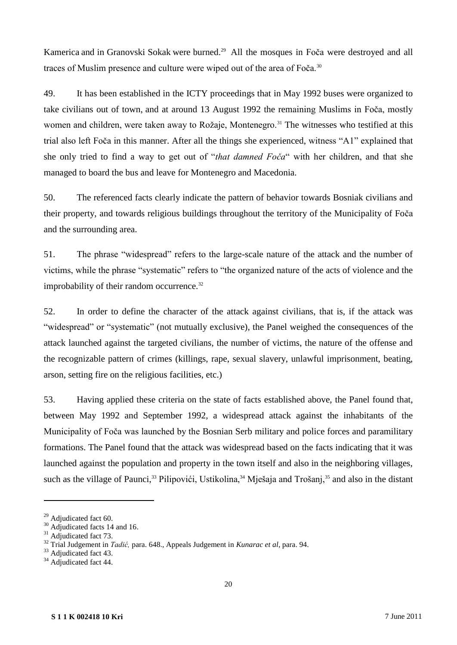Kamerica and in Granovski Sokak were burned.<sup>29</sup> All the mosques in Foča were destroyed and all traces of Muslim presence and culture were wiped out of the area of Foča.<sup>30</sup>

49. It has been established in the ICTY proceedings that in May 1992 buses were organized to take civilians out of town, and at around 13 August 1992 the remaining Muslims in Foča, mostly women and children, were taken away to Rožaje, Montenegro.<sup>31</sup> The witnesses who testified at this trial also left Foča in this manner. After all the things she experienced, witness "A1" explained that she only tried to find a way to get out of "*that damned Foča*" with her children, and that she managed to board the bus and leave for Montenegro and Macedonia.

50. The referenced facts clearly indicate the pattern of behavior towards Bosniak civilians and their property, and towards religious buildings throughout the territory of the Municipality of Foča and the surrounding area.

51. The phrase "widespread" refers to the large-scale nature of the attack and the number of victims, while the phrase "systematic" refers to "the organized nature of the acts of violence and the improbability of their random occurrence.<sup>32</sup>

52. In order to define the character of the attack against civilians, that is, if the attack was "widespread" or "systematic" (not mutually exclusive), the Panel weighed the consequences of the attack launched against the targeted civilians, the number of victims, the nature of the offense and the recognizable pattern of crimes (killings, rape, sexual slavery, unlawful imprisonment, beating, arson, setting fire on the religious facilities, etc.)

53. Having applied these criteria on the state of facts established above, the Panel found that, between May 1992 and September 1992, a widespread attack against the inhabitants of the Municipality of Foča was launched by the Bosnian Serb military and police forces and paramilitary formations. The Panel found that the attack was widespread based on the facts indicating that it was launched against the population and property in the town itself and also in the neighboring villages, such as the village of Paunci,<sup>33</sup> Pilipovići, Ustikolina,<sup>34</sup> Mješaja and Trošanj,<sup>35</sup> and also in the distant

 $29$  Adjudicated fact 60.

<sup>&</sup>lt;sup>30</sup> Adjudicated facts 14 and 16.

 $31$  Adjudicated fact 73.

<sup>32</sup> Trial Judgement in *Tadić,* para. 648., Appeals Judgement in *Kunarac et al*, para. 94.

<sup>&</sup>lt;sup>33</sup> Adjudicated fact 43.

<sup>&</sup>lt;sup>34</sup> Adjudicated fact 44.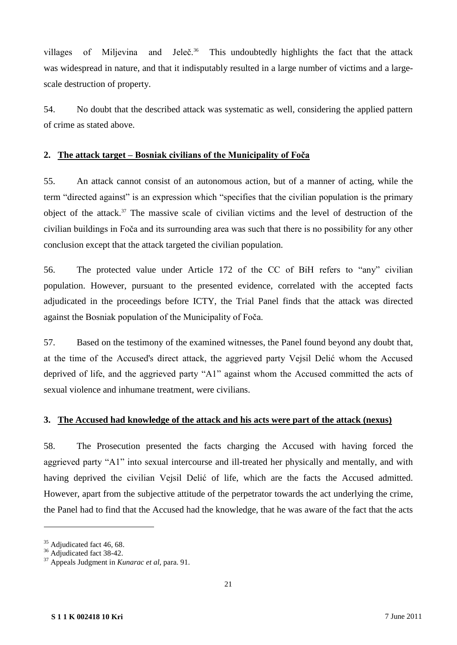villages of Miljevina and Jeleč. $36$  This undoubtedly highlights the fact that the attack was widespread in nature, and that it indisputably resulted in a large number of victims and a largescale destruction of property.

54. No doubt that the described attack was systematic as well, considering the applied pattern of crime as stated above.

### **2. The attack target – Bosniak civilians of the Municipality of Foča**

55. An attack cannot consist of an autonomous action, but of a manner of acting, while the term "directed against" is an expression which "specifies that the civilian population is the primary object of the attack.<sup>37</sup> The massive scale of civilian victims and the level of destruction of the civilian buildings in Foča and its surrounding area was such that there is no possibility for any other conclusion except that the attack targeted the civilian population.

56. The protected value under Article 172 of the CC of BiH refers to "any" civilian population. However, pursuant to the presented evidence, correlated with the accepted facts adjudicated in the proceedings before ICTY, the Trial Panel finds that the attack was directed against the Bosniak population of the Municipality of Foča.

57. Based on the testimony of the examined witnesses, the Panel found beyond any doubt that, at the time of the Accused's direct attack, the aggrieved party Vejsil Delić whom the Accused deprived of life, and the aggrieved party "A1" against whom the Accused committed the acts of sexual violence and inhumane treatment, were civilians.

### **3. The Accused had knowledge of the attack and his acts were part of the attack (nexus)**

58. The Prosecution presented the facts charging the Accused with having forced the aggrieved party "A1" into sexual intercourse and ill-treated her physically and mentally, and with having deprived the civilian Vejsil Delić of life, which are the facts the Accused admitted. However, apart from the subjective attitude of the perpetrator towards the act underlying the crime, the Panel had to find that the Accused had the knowledge, that he was aware of the fact that the acts

 $35$  Adjudicated fact 46, 68.

<sup>&</sup>lt;sup>36</sup> Adjudicated fact 38-42.

<sup>37</sup> Appeals Judgment in *Kunarac et al,* para. 91.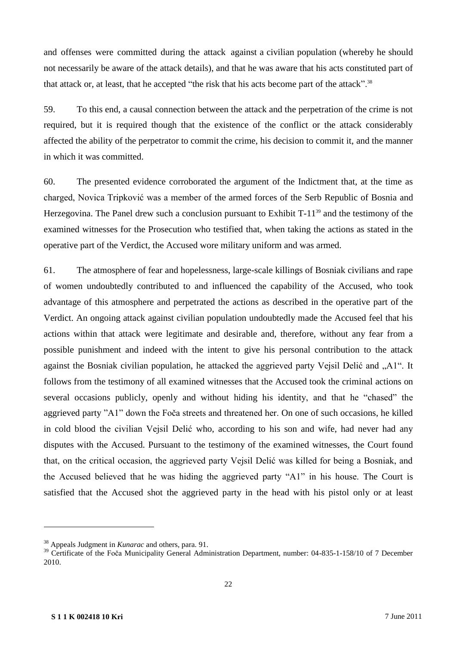and offenses were committed during the attack against a civilian population (whereby he should not necessarily be aware of the attack details), and that he was aware that his acts constituted part of that attack or, at least, that he accepted "the risk that his acts become part of the attack".<sup>38</sup>

59. To this end, a causal connection between the attack and the perpetration of the crime is not required, but it is required though that the existence of the conflict or the attack considerably affected the ability of the perpetrator to commit the crime, his decision to commit it, and the manner in which it was committed.

60. The presented evidence corroborated the argument of the Indictment that, at the time as charged, Novica Tripković was a member of the armed forces of the Serb Republic of Bosnia and Herzegovina. The Panel drew such a conclusion pursuant to Exhibit  $T-11^{39}$  and the testimony of the examined witnesses for the Prosecution who testified that, when taking the actions as stated in the operative part of the Verdict, the Accused wore military uniform and was armed.

61. The atmosphere of fear and hopelessness, large-scale killings of Bosniak civilians and rape of women undoubtedly contributed to and influenced the capability of the Accused, who took advantage of this atmosphere and perpetrated the actions as described in the operative part of the Verdict. An ongoing attack against civilian population undoubtedly made the Accused feel that his actions within that attack were legitimate and desirable and, therefore, without any fear from a possible punishment and indeed with the intent to give his personal contribution to the attack against the Bosniak civilian population, he attacked the aggrieved party Vejsil Delić and "A1". It follows from the testimony of all examined witnesses that the Accused took the criminal actions on several occasions publicly, openly and without hiding his identity, and that he "chased" the aggrieved party "A1" down the Foča streets and threatened her. On one of such occasions, he killed in cold blood the civilian Vejsil Delić who, according to his son and wife, had never had any disputes with the Accused. Pursuant to the testimony of the examined witnesses, the Court found that, on the critical occasion, the aggrieved party Vejsil Delić was killed for being a Bosniak, and the Accused believed that he was hiding the aggrieved party "A1" in his house. The Court is satisfied that the Accused shot the aggrieved party in the head with his pistol only or at least

<sup>38</sup> Appeals Judgment in *Kunarac* and others, para. 91.

<sup>&</sup>lt;sup>39</sup> Certificate of the Foča Municipality General Administration Department, number: 04-835-1-158/10 of 7 December 2010.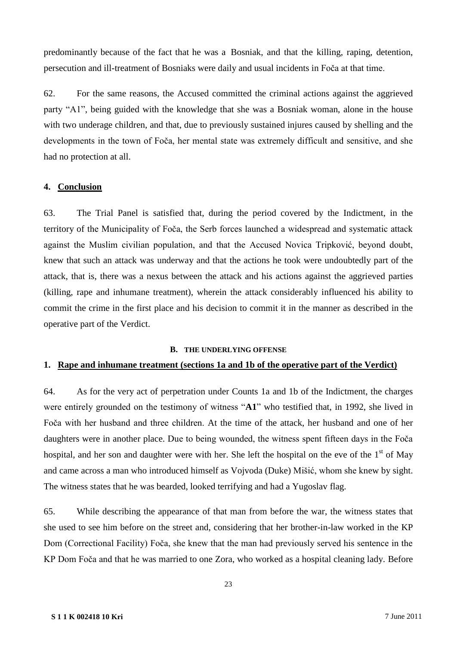predominantly because of the fact that he was a Bosniak, and that the killing, raping, detention, persecution and ill-treatment of Bosniaks were daily and usual incidents in Foča at that time.

62. For the same reasons, the Accused committed the criminal actions against the aggrieved party "A1", being guided with the knowledge that she was a Bosniak woman, alone in the house with two underage children, and that, due to previously sustained injures caused by shelling and the developments in the town of Foča, her mental state was extremely difficult and sensitive, and she had no protection at all.

### **4. Conclusion**

63. The Trial Panel is satisfied that, during the period covered by the Indictment, in the territory of the Municipality of Foča, the Serb forces launched a widespread and systematic attack against the Muslim civilian population, and that the Accused Novica Tripković, beyond doubt, knew that such an attack was underway and that the actions he took were undoubtedly part of the attack, that is, there was a nexus between the attack and his actions against the aggrieved parties (killing, rape and inhumane treatment), wherein the attack considerably influenced his ability to commit the crime in the first place and his decision to commit it in the manner as described in the operative part of the Verdict.

#### **B. THE UNDERLYING OFFENSE**

### **1. Rape and inhumane treatment (sections 1a and 1b of the operative part of the Verdict)**

64. As for the very act of perpetration under Counts 1a and 1b of the Indictment, the charges were entirely grounded on the testimony of witness "**A1**" who testified that, in 1992, she lived in Foča with her husband and three children. At the time of the attack, her husband and one of her daughters were in another place. Due to being wounded, the witness spent fifteen days in the Foča hospital, and her son and daughter were with her. She left the hospital on the eve of the  $1<sup>st</sup>$  of May and came across a man who introduced himself as Vojvoda (Duke) Mišić, whom she knew by sight. The witness states that he was bearded, looked terrifying and had a Yugoslav flag.

65. While describing the appearance of that man from before the war, the witness states that she used to see him before on the street and, considering that her brother-in-law worked in the KP Dom (Correctional Facility) Foča, she knew that the man had previously served his sentence in the KP Dom Foča and that he was married to one Zora, who worked as a hospital cleaning lady. Before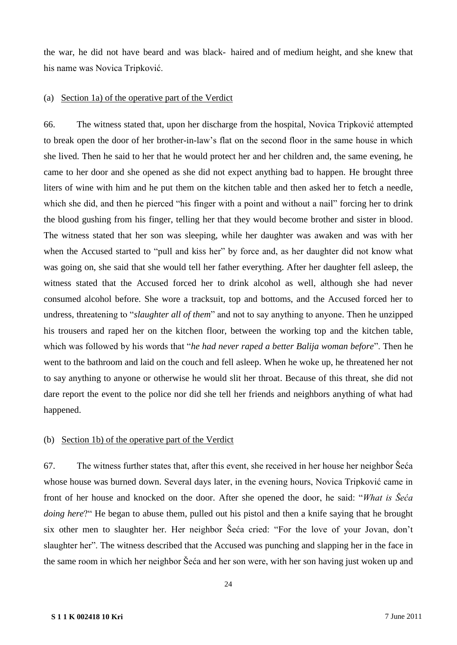the war, he did not have beard and was black- haired and of medium height, and she knew that his name was Novica Tripković.

### (a) Section 1a) of the operative part of the Verdict

66. The witness stated that, upon her discharge from the hospital, Novica Tripković attempted to break open the door of her brother-in-law's flat on the second floor in the same house in which she lived. Then he said to her that he would protect her and her children and, the same evening, he came to her door and she opened as she did not expect anything bad to happen. He brought three liters of wine with him and he put them on the kitchen table and then asked her to fetch a needle, which she did, and then he pierced "his finger with a point and without a nail" forcing her to drink the blood gushing from his finger, telling her that they would become brother and sister in blood. The witness stated that her son was sleeping, while her daughter was awaken and was with her when the Accused started to "pull and kiss her" by force and, as her daughter did not know what was going on, she said that she would tell her father everything. After her daughter fell asleep, the witness stated that the Accused forced her to drink alcohol as well, although she had never consumed alcohol before. She wore a tracksuit, top and bottoms, and the Accused forced her to undress, threatening to "*slaughter all of them*" and not to say anything to anyone. Then he unzipped his trousers and raped her on the kitchen floor, between the working top and the kitchen table, which was followed by his words that "*he had never raped a better Balija woman before*". Then he went to the bathroom and laid on the couch and fell asleep. When he woke up, he threatened her not to say anything to anyone or otherwise he would slit her throat. Because of this threat, she did not dare report the event to the police nor did she tell her friends and neighbors anything of what had happened.

### (b) Section 1b) of the operative part of the Verdict

67. The witness further states that, after this event, she received in her house her neighbor Šeća whose house was burned down. Several days later, in the evening hours, Novica Tripković came in front of her house and knocked on the door. After she opened the door, he said: "*What is Šeća doing here*?" He began to abuse them, pulled out his pistol and then a knife saying that he brought six other men to slaughter her. Her neighbor Šeća cried: "For the love of your Jovan, don't slaughter her". The witness described that the Accused was punching and slapping her in the face in the same room in which her neighbor Šeća and her son were, with her son having just woken up and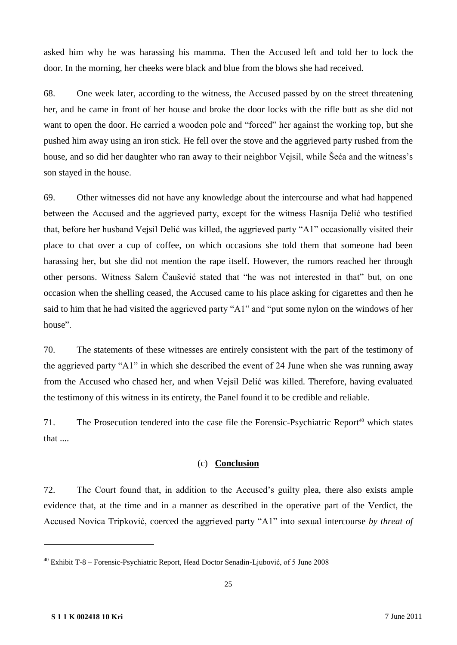asked him why he was harassing his mamma. Then the Accused left and told her to lock the door. In the morning, her cheeks were black and blue from the blows she had received.

68. One week later, according to the witness, the Accused passed by on the street threatening her, and he came in front of her house and broke the door locks with the rifle butt as she did not want to open the door. He carried a wooden pole and "forced" her against the working top, but she pushed him away using an iron stick. He fell over the stove and the aggrieved party rushed from the house, and so did her daughter who ran away to their neighbor Vejsil, while Šeća and the witness's son stayed in the house.

69. Other witnesses did not have any knowledge about the intercourse and what had happened between the Accused and the aggrieved party, except for the witness Hasnija Delić who testified that, before her husband Vejsil Delić was killed, the aggrieved party "A1" occasionally visited their place to chat over a cup of coffee, on which occasions she told them that someone had been harassing her, but she did not mention the rape itself. However, the rumors reached her through other persons. Witness Salem Čaušević stated that "he was not interested in that" but, on one occasion when the shelling ceased, the Accused came to his place asking for cigarettes and then he said to him that he had visited the aggrieved party "A1" and "put some nylon on the windows of her house".

70. The statements of these witnesses are entirely consistent with the part of the testimony of the aggrieved party "A1" in which she described the event of 24 June when she was running away from the Accused who chased her, and when Vejsil Delić was killed. Therefore, having evaluated the testimony of this witness in its entirety, the Panel found it to be credible and reliable.

71. The Prosecution tendered into the case file the Forensic-Psychiatric Report<sup>40</sup> which states that ....

### (c) **Conclusion**

72. The Court found that, in addition to the Accused's guilty plea, there also exists ample evidence that, at the time and in a manner as described in the operative part of the Verdict, the Accused Novica Tripković, coerced the aggrieved party "A1" into sexual intercourse *by threat of* 

<sup>40</sup> Exhibit T-8 – Forensic-Psychiatric Report, Head Doctor Senadin-Ljubović, of 5 June 2008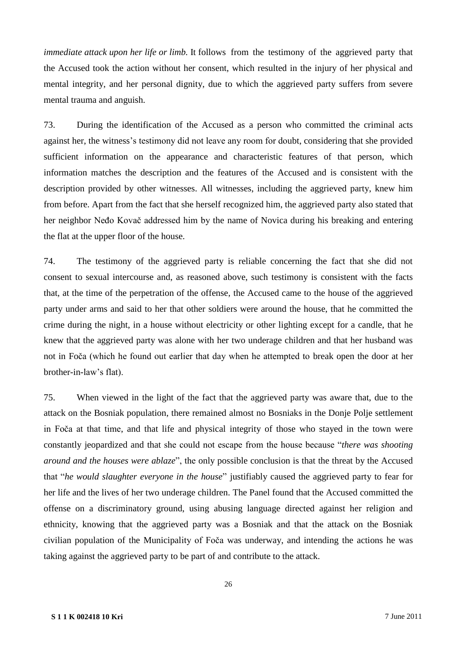*immediate attack upon her life or limb*. It follows from the testimony of the aggrieved party that the Accused took the action without her consent, which resulted in the injury of her physical and mental integrity, and her personal dignity, due to which the aggrieved party suffers from severe mental trauma and anguish.

73. During the identification of the Accused as a person who committed the criminal acts against her, the witness's testimony did not leave any room for doubt, considering that she provided sufficient information on the appearance and characteristic features of that person, which information matches the description and the features of the Accused and is consistent with the description provided by other witnesses. All witnesses, including the aggrieved party, knew him from before. Apart from the fact that she herself recognized him, the aggrieved party also stated that her neighbor Neđo Kovač addressed him by the name of Novica during his breaking and entering the flat at the upper floor of the house.

74. The testimony of the aggrieved party is reliable concerning the fact that she did not consent to sexual intercourse and, as reasoned above, such testimony is consistent with the facts that, at the time of the perpetration of the offense, the Accused came to the house of the aggrieved party under arms and said to her that other soldiers were around the house, that he committed the crime during the night, in a house without electricity or other lighting except for a candle, that he knew that the aggrieved party was alone with her two underage children and that her husband was not in Foča (which he found out earlier that day when he attempted to break open the door at her brother-in-law's flat).

75. When viewed in the light of the fact that the aggrieved party was aware that, due to the attack on the Bosniak population, there remained almost no Bosniaks in the Donje Polje settlement in Foča at that time, and that life and physical integrity of those who stayed in the town were constantly jeopardized and that she could not escape from the house because "*there was shooting around and the houses were ablaze*", the only possible conclusion is that the threat by the Accused that "*he would slaughter everyone in the house*" justifiably caused the aggrieved party to fear for her life and the lives of her two underage children. The Panel found that the Accused committed the offense on a discriminatory ground, using abusing language directed against her religion and ethnicity, knowing that the aggrieved party was a Bosniak and that the attack on the Bosniak civilian population of the Municipality of Foča was underway, and intending the actions he was taking against the aggrieved party to be part of and contribute to the attack.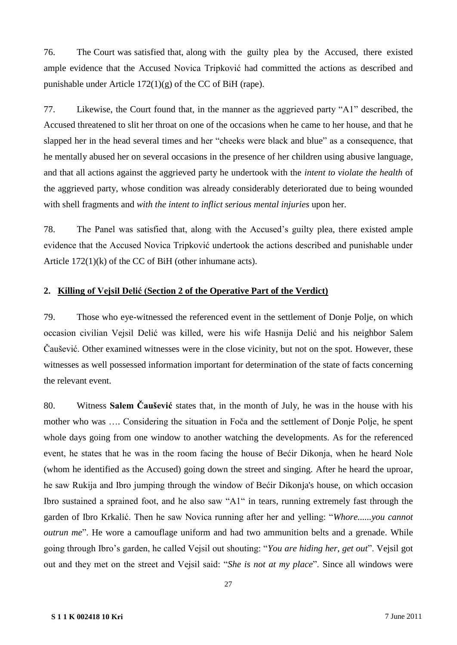76. The Court was satisfied that, along with the guilty plea by the Accused, there existed ample evidence that the Accused Novica Tripković had committed the actions as described and punishable under Article 172(1)(g) of the CC of BiH (rape).

77. Likewise, the Court found that, in the manner as the aggrieved party "A1" described, the Accused threatened to slit her throat on one of the occasions when he came to her house, and that he slapped her in the head several times and her "cheeks were black and blue" as a consequence, that he mentally abused her on several occasions in the presence of her children using abusive language, and that all actions against the aggrieved party he undertook with the *intent to violate the health* of the aggrieved party, whose condition was already considerably deteriorated due to being wounded with shell fragments and *with the intent to inflict serious mental injuries* upon her.

78. The Panel was satisfied that, along with the Accused's guilty plea, there existed ample evidence that the Accused Novica Tripković undertook the actions described and punishable under Article 172(1)(k) of the CC of BiH (other inhumane acts).

### **2. Killing of Vejsil Delić (Section 2 of the Operative Part of the Verdict)**

79. Those who eye-witnessed the referenced event in the settlement of Donje Polje, on which occasion civilian Vejsil Delić was killed, were his wife Hasnija Delić and his neighbor Salem Čaušević. Other examined witnesses were in the close vicinity, but not on the spot. However, these witnesses as well possessed information important for determination of the state of facts concerning the relevant event.

80. Witness **Salem Čaušević** states that, in the month of July, he was in the house with his mother who was …. Considering the situation in Foča and the settlement of Donje Polje, he spent whole days going from one window to another watching the developments. As for the referenced event, he states that he was in the room facing the house of Bećir Dikonja, when he heard Nole (whom he identified as the Accused) going down the street and singing. After he heard the uproar, he saw Rukija and Ibro jumping through the window of Bećir Dikonja's house, on which occasion Ibro sustained a sprained foot, and he also saw "A1" in tears, running extremely fast through the garden of Ibro Krkalić. Then he saw Novica running after her and yelling: "*Whore......you cannot outrun me*". He wore a camouflage uniform and had two ammunition belts and a grenade. While going through Ibro's garden, he called Vejsil out shouting: "*You are hiding her, get out*". Vejsil got out and they met on the street and Vejsil said: "*She is not at my place*". Since all windows were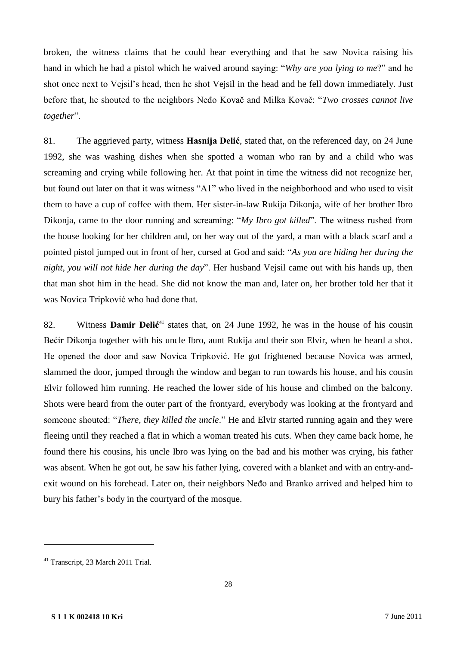broken, the witness claims that he could hear everything and that he saw Novica raising his hand in which he had a pistol which he waived around saying: "*Why are you lying to me*?" and he shot once next to Vejsil's head, then he shot Vejsil in the head and he fell down immediately. Just before that, he shouted to the neighbors Neđo Kovač and Milka Kovač: "*Two crosses cannot live together*".

81. The aggrieved party, witness **Hasnija Delić**, stated that, on the referenced day, on 24 June 1992, she was washing dishes when she spotted a woman who ran by and a child who was screaming and crying while following her. At that point in time the witness did not recognize her, but found out later on that it was witness "A1" who lived in the neighborhood and who used to visit them to have a cup of coffee with them. Her sister-in-law Rukija Dikonja, wife of her brother Ibro Dikonja, came to the door running and screaming: "*My Ibro got killed*". The witness rushed from the house looking for her children and, on her way out of the yard, a man with a black scarf and a pointed pistol jumped out in front of her, cursed at God and said: "*As you are hiding her during the night, you will not hide her during the day*". Her husband Vejsil came out with his hands up, then that man shot him in the head. She did not know the man and, later on, her brother told her that it was Novica Tripković who had done that.

82. Witness **Damir Delić**<sup>41</sup> states that, on 24 June 1992, he was in the house of his cousin Bećir Dikonja together with his uncle Ibro, aunt Rukija and their son Elvir, when he heard a shot. He opened the door and saw Novica Tripković. He got frightened because Novica was armed, slammed the door, jumped through the window and began to run towards his house, and his cousin Elvir followed him running. He reached the lower side of his house and climbed on the balcony. Shots were heard from the outer part of the frontyard, everybody was looking at the frontyard and someone shouted: "*There, they killed the uncle*." He and Elvir started running again and they were fleeing until they reached a flat in which a woman treated his cuts. When they came back home, he found there his cousins, his uncle Ibro was lying on the bad and his mother was crying, his father was absent. When he got out, he saw his father lying, covered with a blanket and with an entry-andexit wound on his forehead. Later on, their neighbors Neđo and Branko arrived and helped him to bury his father's body in the courtyard of the mosque.

<sup>41</sup> Transcript, 23 March 2011 Trial.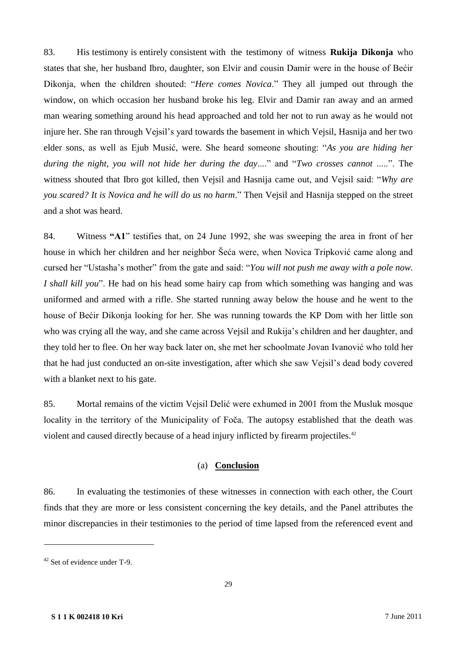83. His testimony is entirely consistent with the testimony of witness **Rukija Dikonja** who states that she, her husband Ibro, daughter, son Elvir and cousin Damir were in the house of Bećir Dikonja, when the children shouted: "*Here comes Novica*." They all jumped out through the window, on which occasion her husband broke his leg. Elvir and Damir ran away and an armed man wearing something around his head approached and told her not to run away as he would not injure her. She ran through Vejsil's yard towards the basement in which Vejsil, Hasnija and her two elder sons, as well as Ejub Musić, were. She heard someone shouting: "*As you are hiding her during the night, you will not hide her during the day*...." and "*Two crosses cannot* .....". The witness shouted that Ibro got killed, then Vejsil and Hasnija came out, and Vejsil said: "*Why are you scared? It is Novica and he will do us no harm*." Then Vejsil and Hasnija stepped on the street and a shot was heard.

84. Witness **"A1**" testifies that, on 24 June 1992, she was sweeping the area in front of her house in which her children and her neighbor Šeća were, when Novica Tripković came along and cursed her "Ustasha's mother" from the gate and said: "*You will not push me away with a pole now. I shall kill you*". He had on his head some hairy cap from which something was hanging and was uniformed and armed with a rifle. She started running away below the house and he went to the house of Bećir Dikonja looking for her. She was running towards the KP Dom with her little son who was crying all the way, and she came across Vejsil and Rukija's children and her daughter, and they told her to flee. On her way back later on, she met her schoolmate Jovan Ivanović who told her that he had just conducted an on-site investigation, after which she saw Vejsil's dead body covered with a blanket next to his gate.

85. Mortal remains of the victim Vejsil Delić were exhumed in 2001 from the Musluk mosque locality in the territory of the Municipality of Foča. The autopsy established that the death was violent and caused directly because of a head injury inflicted by firearm projectiles.<sup>42</sup>

### (a) **Conclusion**

86. In evaluating the testimonies of these witnesses in connection with each other, the Court finds that they are more or less consistent concerning the key details, and the Panel attributes the minor discrepancies in their testimonies to the period of time lapsed from the referenced event and

<sup>42</sup> Set of evidence under T-9.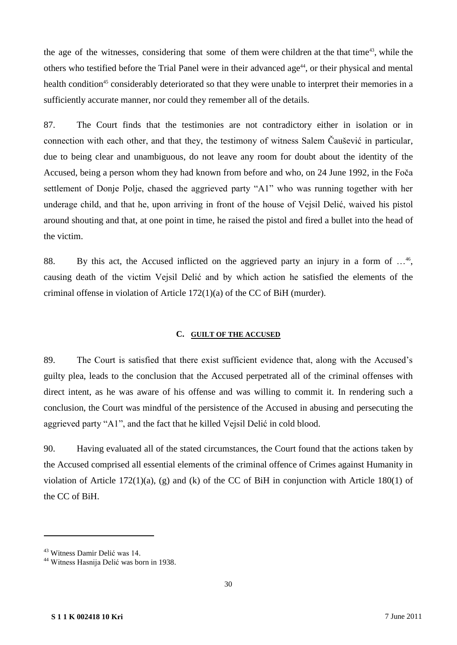the age of the witnesses, considering that some of them were children at the that time<sup>43</sup>, while the others who testified before the Trial Panel were in their advanced age<sup>44</sup>, or their physical and mental health condition<sup>45</sup> considerably deteriorated so that they were unable to interpret their memories in a sufficiently accurate manner, nor could they remember all of the details.

87. The Court finds that the testimonies are not contradictory either in isolation or in connection with each other, and that they, the testimony of witness Salem Čaušević in particular, due to being clear and unambiguous, do not leave any room for doubt about the identity of the Accused, being a person whom they had known from before and who, on 24 June 1992, in the Foča settlement of Donje Polje, chased the aggrieved party "A1" who was running together with her underage child, and that he, upon arriving in front of the house of Vejsil Delić, waived his pistol around shouting and that, at one point in time, he raised the pistol and fired a bullet into the head of the victim.

88. By this act, the Accused inflicted on the aggrieved party an injury in a form of ...<sup>46</sup>, causing death of the victim Vejsil Delić and by which action he satisfied the elements of the criminal offense in violation of Article 172(1)(a) of the CC of BiH (murder).

### **C. GUILT OF THE ACCUSED**

89. The Court is satisfied that there exist sufficient evidence that, along with the Accused's guilty plea, leads to the conclusion that the Accused perpetrated all of the criminal offenses with direct intent, as he was aware of his offense and was willing to commit it. In rendering such a conclusion, the Court was mindful of the persistence of the Accused in abusing and persecuting the aggrieved party "A1", and the fact that he killed Vejsil Delić in cold blood.

90. Having evaluated all of the stated circumstances, the Court found that the actions taken by the Accused comprised all essential elements of the criminal offence of Crimes against Humanity in violation of Article 172(1)(a), (g) and (k) of the CC of BiH in conjunction with Article 180(1) of the CC of BiH.

<sup>43</sup> Witness Damir Delić was 14.

<sup>44</sup> Witness Hasnija Delić was born in 1938.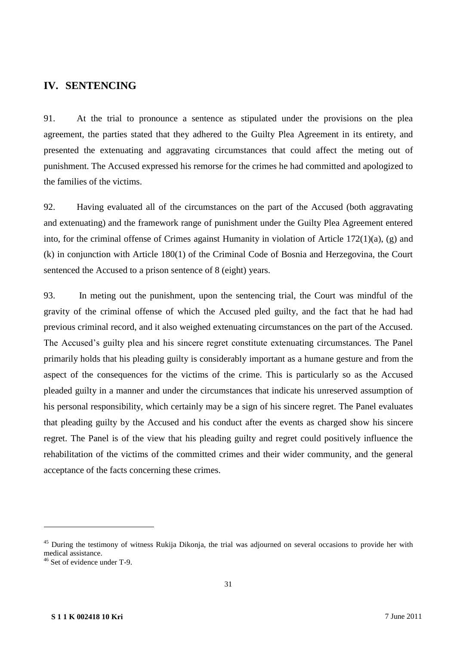# **IV. SENTENCING**

91. At the trial to pronounce a sentence as stipulated under the provisions on the plea agreement, the parties stated that they adhered to the Guilty Plea Agreement in its entirety, and presented the extenuating and aggravating circumstances that could affect the meting out of punishment. The Accused expressed his remorse for the crimes he had committed and apologized to the families of the victims.

92. Having evaluated all of the circumstances on the part of the Accused (both aggravating and extenuating) and the framework range of punishment under the Guilty Plea Agreement entered into, for the criminal offense of Crimes against Humanity in violation of Article 172(1)(a), (g) and (k) in conjunction with Article 180(1) of the Criminal Code of Bosnia and Herzegovina, the Court sentenced the Accused to a prison sentence of 8 (eight) years.

93. In meting out the punishment, upon the sentencing trial, the Court was mindful of the gravity of the criminal offense of which the Accused pled guilty, and the fact that he had had previous criminal record, and it also weighed extenuating circumstances on the part of the Accused. The Accused's guilty plea and his sincere regret constitute extenuating circumstances. The Panel primarily holds that his pleading guilty is considerably important as a humane gesture and from the aspect of the consequences for the victims of the crime. This is particularly so as the Accused pleaded guilty in a manner and under the circumstances that indicate his unreserved assumption of his personal responsibility, which certainly may be a sign of his sincere regret. The Panel evaluates that pleading guilty by the Accused and his conduct after the events as charged show his sincere regret. The Panel is of the view that his pleading guilty and regret could positively influence the rehabilitation of the victims of the committed crimes and their wider community, and the general acceptance of the facts concerning these crimes.

<sup>&</sup>lt;sup>45</sup> During the testimony of witness Rukija Dikonja, the trial was adjourned on several occasions to provide her with medical assistance.

 $46$  Set of evidence under T-9.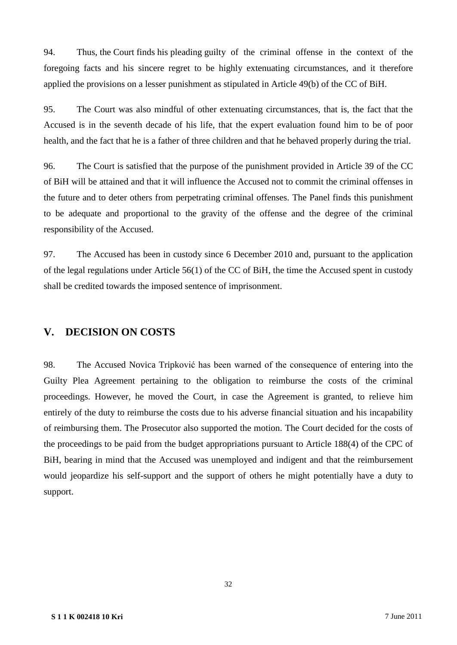94. Thus, the Court finds his pleading guilty of the criminal offense in the context of the foregoing facts and his sincere regret to be highly extenuating circumstances, and it therefore applied the provisions on a lesser punishment as stipulated in Article 49(b) of the CC of BiH.

95. The Court was also mindful of other extenuating circumstances, that is, the fact that the Accused is in the seventh decade of his life, that the expert evaluation found him to be of poor health, and the fact that he is a father of three children and that he behaved properly during the trial.

96. The Court is satisfied that the purpose of the punishment provided in Article 39 of the CC of BiH will be attained and that it will influence the Accused not to commit the criminal offenses in the future and to deter others from perpetrating criminal offenses. The Panel finds this punishment to be adequate and proportional to the gravity of the offense and the degree of the criminal responsibility of the Accused.

97. The Accused has been in custody since 6 December 2010 and, pursuant to the application of the legal regulations under Article 56(1) of the CC of BiH, the time the Accused spent in custody shall be credited towards the imposed sentence of imprisonment.

# **V. DECISION ON COSTS**

98. The Accused Novica Tripković has been warned of the consequence of entering into the Guilty Plea Agreement pertaining to the obligation to reimburse the costs of the criminal proceedings. However, he moved the Court, in case the Agreement is granted, to relieve him entirely of the duty to reimburse the costs due to his adverse financial situation and his incapability of reimbursing them. The Prosecutor also supported the motion. The Court decided for the costs of the proceedings to be paid from the budget appropriations pursuant to Article 188(4) of the CPC of BiH, bearing in mind that the Accused was unemployed and indigent and that the reimbursement would jeopardize his self-support and the support of others he might potentially have a duty to support.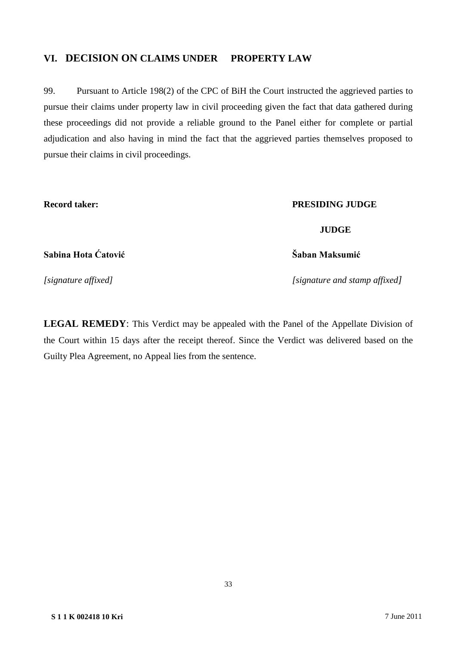# **VI. DECISION ON CLAIMS UNDER PROPERTY LAW**

99. Pursuant to Article 198(2) of the CPC of BiH the Court instructed the aggrieved parties to pursue their claims under property law in civil proceeding given the fact that data gathered during these proceedings did not provide a reliable ground to the Panel either for complete or partial adjudication and also having in mind the fact that the aggrieved parties themselves proposed to pursue their claims in civil proceedings.

### **Record taker: PRESIDING JUDGE**

**JUDGE**

**Sabina Hota Ćatović Šaban Maksumić** 

*[signature affixed] [signature and stamp affixed]*

**LEGAL REMEDY**: This Verdict may be appealed with the Panel of the Appellate Division of the Court within 15 days after the receipt thereof. Since the Verdict was delivered based on the Guilty Plea Agreement, no Appeal lies from the sentence.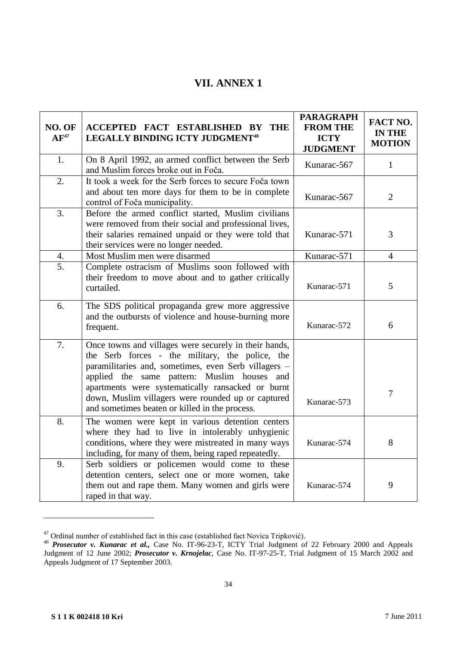# **VII. ANNEX 1**

| NO. OF<br>$AF^{47}$ | ACCEPTED FACT ESTABLISHED BY<br>THE<br><b>LEGALLY BINDING ICTY JUDGMENT<sup>48</sup></b>                                                                                                                                                                                                                                                                                     | <b>PARAGRAPH</b><br><b>FROM THE</b><br><b>ICTY</b><br><b>JUDGMENT</b> | FACT NO.<br><b>IN THE</b><br><b>MOTION</b> |
|---------------------|------------------------------------------------------------------------------------------------------------------------------------------------------------------------------------------------------------------------------------------------------------------------------------------------------------------------------------------------------------------------------|-----------------------------------------------------------------------|--------------------------------------------|
| 1.                  | On 8 April 1992, an armed conflict between the Serb<br>and Muslim forces broke out in Foča.                                                                                                                                                                                                                                                                                  | Kunarac-567                                                           | $\mathbf{1}$                               |
| 2.                  | It took a week for the Serb forces to secure Foča town<br>and about ten more days for them to be in complete<br>control of Foča municipality.                                                                                                                                                                                                                                | Kunarac-567                                                           | 2                                          |
| $\overline{3}$ .    | Before the armed conflict started, Muslim civilians<br>were removed from their social and professional lives,<br>their salaries remained unpaid or they were told that<br>their services were no longer needed.                                                                                                                                                              | Kunarac-571                                                           | 3                                          |
| 4.                  | Most Muslim men were disarmed                                                                                                                                                                                                                                                                                                                                                | Kunarac-571                                                           | $\overline{4}$                             |
| 5.                  | Complete ostracism of Muslims soon followed with<br>their freedom to move about and to gather critically<br>curtailed.                                                                                                                                                                                                                                                       | Kunarac-571                                                           | 5                                          |
| 6.                  | The SDS political propaganda grew more aggressive<br>and the outbursts of violence and house-burning more<br>frequent.                                                                                                                                                                                                                                                       | Kunarac-572                                                           | 6                                          |
| 7.                  | Once towns and villages were securely in their hands,<br>the Serb forces - the military, the police, the<br>paramilitaries and, sometimes, even Serb villagers -<br>applied the same pattern: Muslim houses and<br>apartments were systematically ransacked or burnt<br>down, Muslim villagers were rounded up or captured<br>and sometimes beaten or killed in the process. | Kunarac-573                                                           | $\overline{7}$                             |
| 8.                  | The women were kept in various detention centers<br>where they had to live in intolerably unhygienic<br>conditions, where they were mistreated in many ways<br>including, for many of them, being raped repeatedly.                                                                                                                                                          | Kunarac-574                                                           | 8                                          |
| 9.                  | Serb soldiers or policemen would come to these<br>detention centers, select one or more women, take<br>them out and rape them. Many women and girls were<br>raped in that way.                                                                                                                                                                                               | Kunarac-574                                                           | 9                                          |

 $47$  Ordinal number of established fact in this case (established fact Novica Tripković).

<sup>48</sup> *Prosecutor v. Kunarac et al.,* Case No. IT-96-23-T, ICTY Trial Judgment of 22 February 2000 and Appeals Judgment of 12 June 2002; *Prosecutor v. Krnojelac*, Case No. IT-97-25-T, Trial Judgment of 15 March 2002 and Appeals Judgment of 17 September 2003.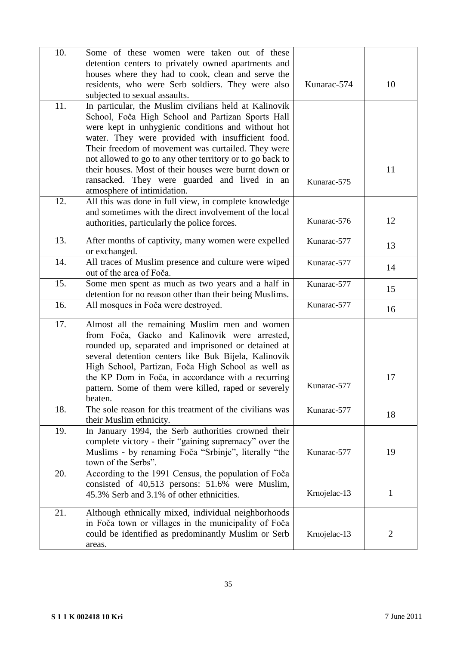| 10. | Some of these women were taken out of these                                                                  |              |                |
|-----|--------------------------------------------------------------------------------------------------------------|--------------|----------------|
|     | detention centers to privately owned apartments and<br>houses where they had to cook, clean and serve the    |              |                |
|     | residents, who were Serb soldiers. They were also                                                            | Kunarac-574  | 10             |
|     | subjected to sexual assaults.                                                                                |              |                |
| 11. | In particular, the Muslim civilians held at Kalinovik                                                        |              |                |
|     | School, Foča High School and Partizan Sports Hall                                                            |              |                |
|     | were kept in unhygienic conditions and without hot                                                           |              |                |
|     | water. They were provided with insufficient food.                                                            |              |                |
|     | Their freedom of movement was curtailed. They were                                                           |              |                |
|     | not allowed to go to any other territory or to go back to                                                    |              |                |
|     | their houses. Most of their houses were burnt down or                                                        |              | 11             |
|     | ransacked. They were guarded and lived in an                                                                 | Kunarac-575  |                |
|     | atmosphere of intimidation.                                                                                  |              |                |
| 12. | All this was done in full view, in complete knowledge                                                        |              |                |
|     | and sometimes with the direct involvement of the local<br>authorities, particularly the police forces.       | Kunarac-576  | 12             |
|     |                                                                                                              |              |                |
| 13. | After months of captivity, many women were expelled                                                          | Kunarac-577  | 13             |
|     | or exchanged.                                                                                                |              |                |
| 14. | All traces of Muslim presence and culture were wiped                                                         | Kunarac-577  | 14             |
|     | out of the area of Foča.                                                                                     |              |                |
| 15. | Some men spent as much as two years and a half in<br>detention for no reason other than their being Muslims. | Kunarac-577  | 15             |
| 16. | All mosques in Foča were destroyed.                                                                          | Kunarac-577  |                |
|     |                                                                                                              |              | 16             |
| 17. | Almost all the remaining Muslim men and women                                                                |              |                |
|     | from Foča, Gacko and Kalinovik were arrested,                                                                |              |                |
|     | rounded up, separated and imprisoned or detained at                                                          |              |                |
|     | several detention centers like Buk Bijela, Kalinovik<br>High School, Partizan, Foča High School as well as   |              |                |
|     | the KP Dom in Foča, in accordance with a recurring                                                           |              | 17             |
|     | pattern. Some of them were killed, raped or severely                                                         | Kunarac-577  |                |
|     | beaten.                                                                                                      |              |                |
| 18. | The sole reason for this treatment of the civilians was                                                      | Kunarac-577  |                |
|     | their Muslim ethnicity.                                                                                      |              | 18             |
| 19. | In January 1994, the Serb authorities crowned their                                                          |              |                |
|     | complete victory - their "gaining supremacy" over the                                                        |              |                |
|     | Muslims - by renaming Foča "Srbinje", literally "the                                                         | Kunarac-577  | 19             |
|     | town of the Serbs".                                                                                          |              |                |
| 20. | According to the 1991 Census, the population of Foča                                                         |              |                |
|     | consisted of 40,513 persons: 51.6% were Muslim,                                                              | Krnojelac-13 | $\mathbf{1}$   |
|     |                                                                                                              |              |                |
|     | 45.3% Serb and 3.1% of other ethnicities.                                                                    |              |                |
| 21. | Although ethnically mixed, individual neighborhoods                                                          |              |                |
|     | in Foča town or villages in the municipality of Foča                                                         |              |                |
|     | could be identified as predominantly Muslim or Serb<br>areas.                                                | Krnojelac-13 | $\overline{2}$ |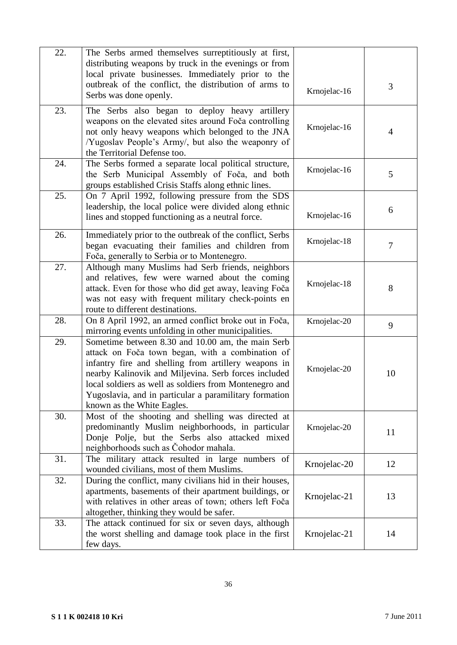| 22. | The Serbs armed themselves surreptitiously at first,<br>distributing weapons by truck in the evenings or from<br>local private businesses. Immediately prior to the                                                                                                                                                                                                     |              |    |
|-----|-------------------------------------------------------------------------------------------------------------------------------------------------------------------------------------------------------------------------------------------------------------------------------------------------------------------------------------------------------------------------|--------------|----|
|     | outbreak of the conflict, the distribution of arms to<br>Serbs was done openly.                                                                                                                                                                                                                                                                                         | Krnojelac-16 | 3  |
| 23. | The Serbs also began to deploy heavy artillery<br>weapons on the elevated sites around Foča controlling<br>not only heavy weapons which belonged to the JNA<br>/Yugoslav People's Army/, but also the weaponry of<br>the Territorial Defense too.                                                                                                                       | Krnojelac-16 | 4  |
| 24. | The Serbs formed a separate local political structure,<br>the Serb Municipal Assembly of Foča, and both<br>groups established Crisis Staffs along ethnic lines.                                                                                                                                                                                                         | Krnojelac-16 | 5  |
| 25. | On 7 April 1992, following pressure from the SDS<br>leadership, the local police were divided along ethnic<br>lines and stopped functioning as a neutral force.                                                                                                                                                                                                         | Krnojelac-16 | 6  |
| 26. | Immediately prior to the outbreak of the conflict, Serbs<br>began evacuating their families and children from<br>Foča, generally to Serbia or to Montenegro.                                                                                                                                                                                                            | Krnojelac-18 | 7  |
| 27. | Although many Muslims had Serb friends, neighbors<br>and relatives, few were warned about the coming<br>attack. Even for those who did get away, leaving Foča<br>was not easy with frequent military check-points en<br>route to different destinations.                                                                                                                | Krnojelac-18 | 8  |
| 28. | On 8 April 1992, an armed conflict broke out in Foča,<br>mirroring events unfolding in other municipalities.                                                                                                                                                                                                                                                            | Krnojelac-20 | 9  |
| 29. | Sometime between 8.30 and 10.00 am, the main Serb<br>attack on Foča town began, with a combination of<br>infantry fire and shelling from artillery weapons in<br>nearby Kalinovik and Miljevina. Serb forces included<br>local soldiers as well as soldiers from Montenegro and<br>Yugoslavia, and in particular a paramilitary formation<br>known as the White Eagles. | Krnojelac-20 | 10 |
| 30. | Most of the shooting and shelling was directed at<br>predominantly Muslim neighborhoods, in particular<br>Donje Polje, but the Serbs also attacked mixed<br>neighborhoods such as Čohodor mahala.                                                                                                                                                                       | Krnojelac-20 | 11 |
| 31. | The military attack resulted in large numbers of<br>wounded civilians, most of them Muslims.                                                                                                                                                                                                                                                                            | Krnojelac-20 | 12 |
| 32. | During the conflict, many civilians hid in their houses,<br>apartments, basements of their apartment buildings, or<br>with relatives in other areas of town; others left Foča<br>altogether, thinking they would be safer.                                                                                                                                              | Krnojelac-21 | 13 |
| 33. | The attack continued for six or seven days, although<br>the worst shelling and damage took place in the first<br>few days.                                                                                                                                                                                                                                              | Krnojelac-21 | 14 |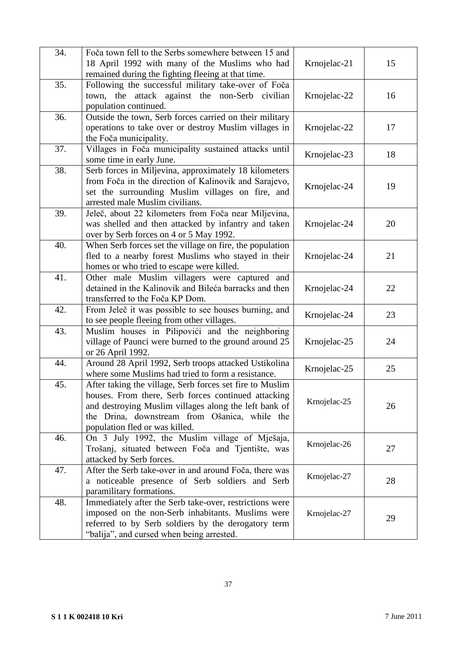| 34. | Foča town fell to the Serbs somewhere between 15 and<br>18 April 1992 with many of the Muslims who had<br>remained during the fighting fleeing at that time.                                                                                                | Krnojelac-21 | 15 |
|-----|-------------------------------------------------------------------------------------------------------------------------------------------------------------------------------------------------------------------------------------------------------------|--------------|----|
| 35. | Following the successful military take-over of Foča<br>town, the attack against the non-Serb civilian<br>population continued.                                                                                                                              | Krnojelac-22 | 16 |
| 36. | Outside the town, Serb forces carried on their military<br>operations to take over or destroy Muslim villages in<br>the Foča municipality.                                                                                                                  | Krnojelac-22 | 17 |
| 37. | Villages in Foča municipality sustained attacks until<br>some time in early June.                                                                                                                                                                           | Krnojelac-23 | 18 |
| 38. | Serb forces in Miljevina, approximately 18 kilometers<br>from Foča in the direction of Kalinovik and Sarajevo,<br>set the surrounding Muslim villages on fire, and<br>arrested male Muslim civilians.                                                       | Krnojelac-24 | 19 |
| 39. | Jeleč, about 22 kilometers from Foča near Miljevina,<br>was shelled and then attacked by infantry and taken<br>over by Serb forces on 4 or 5 May 1992.                                                                                                      | Krnojelac-24 | 20 |
| 40. | When Serb forces set the village on fire, the population<br>fled to a nearby forest Muslims who stayed in their<br>homes or who tried to escape were killed.                                                                                                | Krnojelac-24 | 21 |
| 41. | Other male Muslim villagers were captured and<br>detained in the Kalinovik and Bileća barracks and then<br>transferred to the Foča KP Dom.                                                                                                                  | Krnojelac-24 | 22 |
| 42. | From Jeleč it was possible to see houses burning, and<br>to see people fleeing from other villages.                                                                                                                                                         | Krnojelac-24 | 23 |
| 43. | Muslim houses in Pilipovići and the neighboring<br>village of Paunci were burned to the ground around 25<br>or 26 April 1992.                                                                                                                               | Krnojelac-25 | 24 |
| 44. | Around 28 April 1992, Serb troops attacked Ustikolina<br>where some Muslims had tried to form a resistance.                                                                                                                                                 | Krnojelac-25 | 25 |
| 45. | After taking the village, Serb forces set fire to Muslim<br>houses. From there, Serb forces continued attacking<br>and destroying Muslim villages along the left bank of<br>the Drina, downstream from Ošanica, while the<br>population fled or was killed. | Krnojelac-25 | 26 |
| 46. | On 3 July 1992, the Muslim village of Mješaja,<br>Trošanj, situated between Foča and Tjentište, was<br>attacked by Serb forces.                                                                                                                             | Krnojelac-26 | 27 |
| 47. | After the Serb take-over in and around Foča, there was<br>a noticeable presence of Serb soldiers and Serb<br>paramilitary formations.                                                                                                                       | Krnojelac-27 | 28 |
| 48. | Immediately after the Serb take-over, restrictions were<br>imposed on the non-Serb inhabitants. Muslims were<br>referred to by Serb soldiers by the derogatory term<br>"balija", and cursed when being arrested.                                            | Krnojelac-27 | 29 |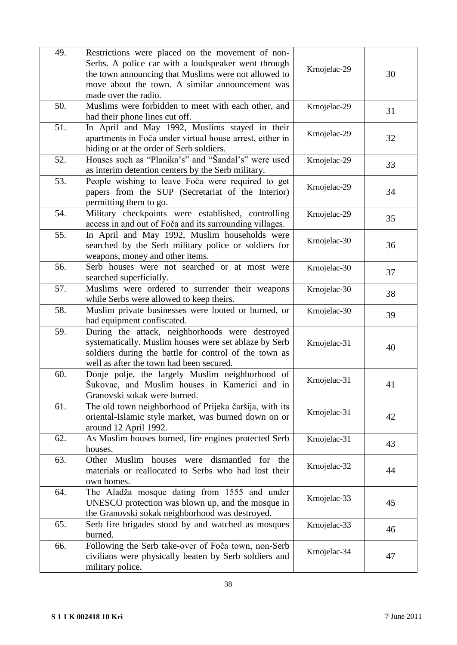| 49. | Restrictions were placed on the movement of non-         |              |    |
|-----|----------------------------------------------------------|--------------|----|
|     | Serbs. A police car with a loudspeaker went through      | Krnojelac-29 |    |
|     | the town announcing that Muslims were not allowed to     |              | 30 |
|     | move about the town. A similar announcement was          |              |    |
|     | made over the radio.                                     |              |    |
| 50. | Muslims were forbidden to meet with each other, and      | Krnojelac-29 | 31 |
|     | had their phone lines cut off.                           |              |    |
| 51. | In April and May 1992, Muslims stayed in their           |              |    |
|     | apartments in Foča under virtual house arrest, either in | Krnojelac-29 | 32 |
|     | hiding or at the order of Serb soldiers.                 |              |    |
| 52. | Houses such as "Planika's" and "Šandal's" were used      | Krnojelac-29 |    |
|     | as interim detention centers by the Serb military.       |              | 33 |
| 53. | People wishing to leave Foča were required to get        |              |    |
|     | papers from the SUP (Secretariat of the Interior)        | Krnojelac-29 | 34 |
|     | permitting them to go.                                   |              |    |
| 54. |                                                          |              |    |
|     | Military checkpoints were established, controlling       | Krnojelac-29 | 35 |
|     | access in and out of Foča and its surrounding villages.  |              |    |
| 55. | In April and May 1992, Muslim households were            | Krnojelac-30 |    |
|     | searched by the Serb military police or soldiers for     |              | 36 |
|     | weapons, money and other items.                          |              |    |
| 56. | Serb houses were not searched or at most were            | Krnojelac-30 | 37 |
|     | searched superficially.                                  |              |    |
| 57. | Muslims were ordered to surrender their weapons          | Krnojelac-30 | 38 |
|     | while Serbs were allowed to keep theirs.                 |              |    |
| 58. | Muslim private businesses were looted or burned, or      | Krnojelac-30 | 39 |
|     | had equipment confiscated.                               |              |    |
| 59. | During the attack, neighborhoods were destroyed          |              |    |
|     | systematically. Muslim houses were set ablaze by Serb    | Krnojelac-31 |    |
|     | soldiers during the battle for control of the town as    |              | 40 |
|     | well as after the town had been secured.                 |              |    |
| 60. | Donje polje, the largely Muslim neighborhood of          |              |    |
|     | Šukovac, and Muslim houses in Kamerici and in            | Krnojelac-31 | 41 |
|     | Granovski sokak were burned.                             |              |    |
| 61. | The old town neighborhood of Prijeka čaršija, with its   |              |    |
|     | oriental-Islamic style market, was burned down on or     | Krnojelac-31 | 42 |
|     | around 12 April 1992.                                    |              |    |
| 62. | As Muslim houses burned, fire engines protected Serb     | Krnojelac-31 |    |
|     | houses.                                                  |              | 43 |
| 63. | Other Muslim houses were dismantled for<br>the           |              |    |
|     | materials or reallocated to Serbs who had lost their     | Krnojelac-32 | 44 |
|     | own homes.                                               |              |    |
| 64. | The Aladža mosque dating from 1555 and under             |              |    |
|     | UNESCO protection was blown up, and the mosque in        | Krnojelac-33 | 45 |
|     | the Granovski sokak neighborhood was destroyed.          |              |    |
|     |                                                          |              |    |
| 65. | Serb fire brigades stood by and watched as mosques       | Krnojelac-33 | 46 |
|     | burned.                                                  |              |    |
| 66. | Following the Serb take-over of Foča town, non-Serb      | Krnojelac-34 |    |
|     | civilians were physically beaten by Serb soldiers and    |              | 47 |
|     | military police.                                         |              |    |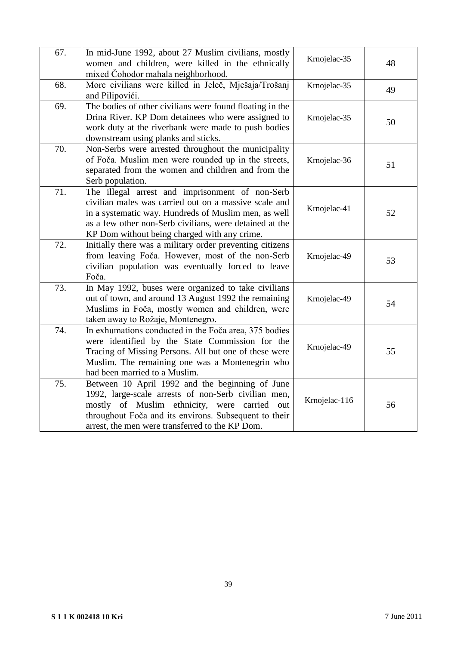| 67. | In mid-June 1992, about 27 Muslim civilians, mostly<br>women and children, were killed in the ethnically<br>mixed Čohodor mahala neighborhood.                                                                                                                              | Krnojelac-35  | 48 |
|-----|-----------------------------------------------------------------------------------------------------------------------------------------------------------------------------------------------------------------------------------------------------------------------------|---------------|----|
| 68. | More civilians were killed in Jeleč, Mješaja/Trošanj<br>and Pilipovići.                                                                                                                                                                                                     | Krnojelac-35  | 49 |
| 69. | The bodies of other civilians were found floating in the<br>Drina River. KP Dom detainees who were assigned to<br>work duty at the riverbank were made to push bodies<br>downstream using planks and sticks.                                                                | Krnojelac-35  | 50 |
| 70. | Non-Serbs were arrested throughout the municipality<br>of Foča. Muslim men were rounded up in the streets,<br>separated from the women and children and from the<br>Serb population.                                                                                        | Krnojelac-36  | 51 |
| 71. | The illegal arrest and imprisonment of non-Serb<br>civilian males was carried out on a massive scale and<br>in a systematic way. Hundreds of Muslim men, as well<br>as a few other non-Serb civilians, were detained at the<br>KP Dom without being charged with any crime. | Krnojelac-41  | 52 |
| 72. | Initially there was a military order preventing citizens<br>from leaving Foča. However, most of the non-Serb<br>civilian population was eventually forced to leave<br>Foča.                                                                                                 | Krnojelac-49  | 53 |
| 73. | In May 1992, buses were organized to take civilians<br>out of town, and around 13 August 1992 the remaining<br>Muslims in Foča, mostly women and children, were<br>taken away to Rožaje, Montenegro.                                                                        | Krnojelac-49  | 54 |
| 74. | In exhumations conducted in the Foča area, 375 bodies<br>were identified by the State Commission for the<br>Tracing of Missing Persons. All but one of these were<br>Muslim. The remaining one was a Montenegrin who<br>had been married to a Muslim.                       | Krnojelac-49  | 55 |
| 75. | Between 10 April 1992 and the beginning of June<br>1992, large-scale arrests of non-Serb civilian men,<br>mostly of Muslim ethnicity, were carried out<br>throughout Foča and its environs. Subsequent to their<br>arrest, the men were transferred to the KP Dom.          | Krnojelac-116 | 56 |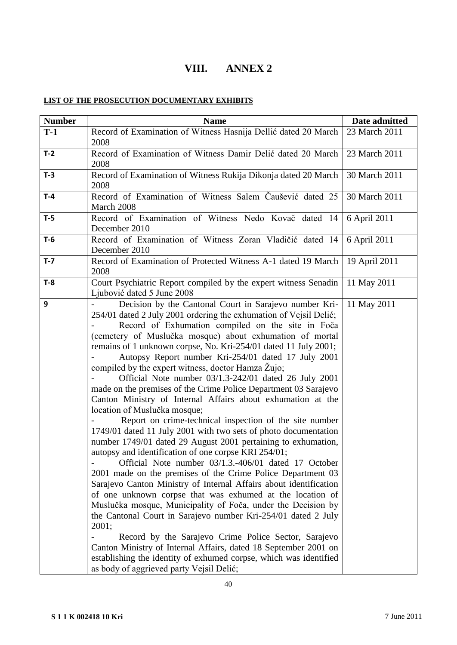# **VIII. ANNEX 2**

# **LIST OF THE PROSECUTION DOCUMENTARY EXHIBITS**

| <b>Number</b> | <b>Name</b>                                                                                                                                                                                                                                                                                                                                                                                                                                                                                                                                                                                                                                                                                                                                                                                                                                                                                                                                                                                                                                                                                                                                                                                                                                                                                                                                                                                                                                                                                                                                                   | Date admitted |
|---------------|---------------------------------------------------------------------------------------------------------------------------------------------------------------------------------------------------------------------------------------------------------------------------------------------------------------------------------------------------------------------------------------------------------------------------------------------------------------------------------------------------------------------------------------------------------------------------------------------------------------------------------------------------------------------------------------------------------------------------------------------------------------------------------------------------------------------------------------------------------------------------------------------------------------------------------------------------------------------------------------------------------------------------------------------------------------------------------------------------------------------------------------------------------------------------------------------------------------------------------------------------------------------------------------------------------------------------------------------------------------------------------------------------------------------------------------------------------------------------------------------------------------------------------------------------------------|---------------|
| $T-1$         | Record of Examination of Witness Hasnija Dellić dated 20 March<br>2008                                                                                                                                                                                                                                                                                                                                                                                                                                                                                                                                                                                                                                                                                                                                                                                                                                                                                                                                                                                                                                                                                                                                                                                                                                                                                                                                                                                                                                                                                        | 23 March 2011 |
| $T-2$         | Record of Examination of Witness Damir Delić dated 20 March<br>2008                                                                                                                                                                                                                                                                                                                                                                                                                                                                                                                                                                                                                                                                                                                                                                                                                                                                                                                                                                                                                                                                                                                                                                                                                                                                                                                                                                                                                                                                                           | 23 March 2011 |
| $T-3$         | Record of Examination of Witness Rukija Dikonja dated 20 March<br>2008                                                                                                                                                                                                                                                                                                                                                                                                                                                                                                                                                                                                                                                                                                                                                                                                                                                                                                                                                                                                                                                                                                                                                                                                                                                                                                                                                                                                                                                                                        | 30 March 2011 |
| $T-4$         | Record of Examination of Witness Salem Čaušević dated 25<br>March 2008                                                                                                                                                                                                                                                                                                                                                                                                                                                                                                                                                                                                                                                                                                                                                                                                                                                                                                                                                                                                                                                                                                                                                                                                                                                                                                                                                                                                                                                                                        | 30 March 2011 |
| $T-5$         | Record of Examination of Witness Nedo Kovač dated 14<br>December 2010                                                                                                                                                                                                                                                                                                                                                                                                                                                                                                                                                                                                                                                                                                                                                                                                                                                                                                                                                                                                                                                                                                                                                                                                                                                                                                                                                                                                                                                                                         | 6 April 2011  |
| $T-6$         | Record of Examination of Witness Zoran Vladičić dated 14<br>December 2010                                                                                                                                                                                                                                                                                                                                                                                                                                                                                                                                                                                                                                                                                                                                                                                                                                                                                                                                                                                                                                                                                                                                                                                                                                                                                                                                                                                                                                                                                     | 6 April 2011  |
| $T - 7$       | Record of Examination of Protected Witness A-1 dated 19 March<br>2008                                                                                                                                                                                                                                                                                                                                                                                                                                                                                                                                                                                                                                                                                                                                                                                                                                                                                                                                                                                                                                                                                                                                                                                                                                                                                                                                                                                                                                                                                         | 19 April 2011 |
| $T-8$         | Court Psychiatric Report compiled by the expert witness Senadin<br>Ljubović dated 5 June 2008                                                                                                                                                                                                                                                                                                                                                                                                                                                                                                                                                                                                                                                                                                                                                                                                                                                                                                                                                                                                                                                                                                                                                                                                                                                                                                                                                                                                                                                                 | 11 May 2011   |
| 9             | Decision by the Cantonal Court in Sarajevo number Kri-<br>254/01 dated 2 July 2001 ordering the exhumation of Vejsil Delić;<br>Record of Exhumation compiled on the site in Foča<br>(cemetery of Muslučka mosque) about exhumation of mortal<br>remains of 1 unknown corpse, No. Kri-254/01 dated 11 July 2001;<br>Autopsy Report number Kri-254/01 dated 17 July 2001<br>compiled by the expert witness, doctor Hamza Žujo;<br>Official Note number 03/1.3-242/01 dated 26 July 2001<br>made on the premises of the Crime Police Department 03 Sarajevo<br>Canton Ministry of Internal Affairs about exhumation at the<br>location of Muslučka mosque;<br>Report on crime-technical inspection of the site number<br>1749/01 dated 11 July 2001 with two sets of photo documentation<br>number 1749/01 dated 29 August 2001 pertaining to exhumation,<br>autopsy and identification of one corpse KRI 254/01;<br>Official Note number 03/1.3.-406/01 dated 17 October<br>2001 made on the premises of the Crime Police Department 03<br>Sarajevo Canton Ministry of Internal Affairs about identification<br>of one unknown corpse that was exhumed at the location of<br>Muslučka mosque, Municipality of Foča, under the Decision by<br>the Cantonal Court in Sarajevo number Kri-254/01 dated 2 July<br>2001;<br>Record by the Sarajevo Crime Police Sector, Sarajevo<br>Canton Ministry of Internal Affairs, dated 18 September 2001 on<br>establishing the identity of exhumed corpse, which was identified<br>as body of aggrieved party Vejsil Delić; | 11 May 2011   |